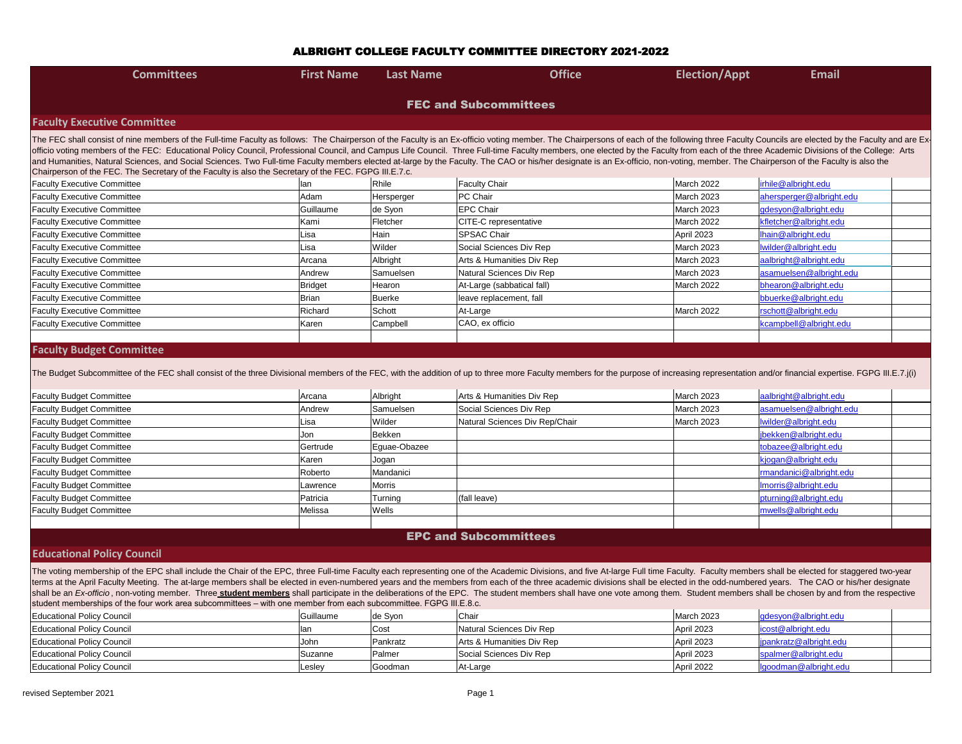| <b>Committees</b>                                                                                                                                                                                                                                                                                                                                                                                                                                                                                                                                                                                                                                                                                                                                                                                           | <b>First Name</b>                                                                                                                                                                                                              | <b>Last Name</b> | <b>Office</b>                  | <b>Election/Appt</b> | <b>Email</b>             |  |  |  |  |
|-------------------------------------------------------------------------------------------------------------------------------------------------------------------------------------------------------------------------------------------------------------------------------------------------------------------------------------------------------------------------------------------------------------------------------------------------------------------------------------------------------------------------------------------------------------------------------------------------------------------------------------------------------------------------------------------------------------------------------------------------------------------------------------------------------------|--------------------------------------------------------------------------------------------------------------------------------------------------------------------------------------------------------------------------------|------------------|--------------------------------|----------------------|--------------------------|--|--|--|--|
|                                                                                                                                                                                                                                                                                                                                                                                                                                                                                                                                                                                                                                                                                                                                                                                                             |                                                                                                                                                                                                                                |                  | <b>FEC and Subcommittees</b>   |                      |                          |  |  |  |  |
| <b>Faculty Executive Committee</b>                                                                                                                                                                                                                                                                                                                                                                                                                                                                                                                                                                                                                                                                                                                                                                          |                                                                                                                                                                                                                                |                  |                                |                      |                          |  |  |  |  |
| The FEC shall consist of nine members of the Full-time Faculty as follows: The Chairperson of the Faculty is an Ex-officio voting member. The Chairpersons of each of the following three Faculty Councils are elected by the<br>officio voting members of the FEC: Educational Policy Council, Professional Council, and Campus Life Council. Three Full-time Faculty members, one elected by the Faculty from each of the three Academic Divisions of the Col<br>and Humanities, Natural Sciences, and Social Sciences. Two Full-time Faculty members elected at-large by the Faculty. The CAO or his/her designate is an Ex-officio, non-voting, member. The Chairperson of the Faculty is als<br>Chairperson of the FEC. The Secretary of the Faculty is also the Secretary of the FEC. FGPG III.E.7.c. |                                                                                                                                                                                                                                |                  |                                |                      |                          |  |  |  |  |
| <b>Faculty Executive Committee</b>                                                                                                                                                                                                                                                                                                                                                                                                                                                                                                                                                                                                                                                                                                                                                                          | lan                                                                                                                                                                                                                            | Rhile            | <b>Faculty Chair</b>           | March 2022           | irhile@albright.edu      |  |  |  |  |
| <b>Faculty Executive Committee</b>                                                                                                                                                                                                                                                                                                                                                                                                                                                                                                                                                                                                                                                                                                                                                                          | Adam                                                                                                                                                                                                                           | Hersperger       | PC Chair                       | <b>March 2023</b>    | ahersperger@albright.edu |  |  |  |  |
| <b>Faculty Executive Committee</b>                                                                                                                                                                                                                                                                                                                                                                                                                                                                                                                                                                                                                                                                                                                                                                          | Guillaume                                                                                                                                                                                                                      | de Syon          | <b>EPC Chair</b>               | March 2023           | gdesyon@albright.edu     |  |  |  |  |
| <b>Faculty Executive Committee</b>                                                                                                                                                                                                                                                                                                                                                                                                                                                                                                                                                                                                                                                                                                                                                                          | Kami                                                                                                                                                                                                                           | Fletcher         | CITE-C representative          | March 2022           | kfletcher@albright.edu   |  |  |  |  |
| <b>Faculty Executive Committee</b>                                                                                                                                                                                                                                                                                                                                                                                                                                                                                                                                                                                                                                                                                                                                                                          | Lisa                                                                                                                                                                                                                           | Hain             | <b>SPSAC Chair</b>             | April 2023           | lhain@albright.edu       |  |  |  |  |
| <b>Faculty Executive Committee</b>                                                                                                                                                                                                                                                                                                                                                                                                                                                                                                                                                                                                                                                                                                                                                                          | Lisa                                                                                                                                                                                                                           | Wilder           | Social Sciences Div Rep        | <b>March 2023</b>    | Iwilder@albright.edu     |  |  |  |  |
| <b>Faculty Executive Committee</b>                                                                                                                                                                                                                                                                                                                                                                                                                                                                                                                                                                                                                                                                                                                                                                          | Arcana                                                                                                                                                                                                                         | Albright         | Arts & Humanities Div Rep      | March 2023           | aalbright@albright.edu   |  |  |  |  |
| <b>Faculty Executive Committee</b>                                                                                                                                                                                                                                                                                                                                                                                                                                                                                                                                                                                                                                                                                                                                                                          | Andrew                                                                                                                                                                                                                         | Samuelsen        | Natural Sciences Div Rep       | March 2023           | asamuelsen@albright.edu  |  |  |  |  |
| <b>Faculty Executive Committee</b>                                                                                                                                                                                                                                                                                                                                                                                                                                                                                                                                                                                                                                                                                                                                                                          | Bridget                                                                                                                                                                                                                        | Hearon           | At-Large (sabbatical fall)     | March 2022           | bhearon@albright.edu     |  |  |  |  |
| <b>Faculty Executive Committee</b>                                                                                                                                                                                                                                                                                                                                                                                                                                                                                                                                                                                                                                                                                                                                                                          | Brian                                                                                                                                                                                                                          | Buerke           | leave replacement, fall        |                      | bbuerke@albright.edu     |  |  |  |  |
| <b>Faculty Executive Committee</b>                                                                                                                                                                                                                                                                                                                                                                                                                                                                                                                                                                                                                                                                                                                                                                          | Richard                                                                                                                                                                                                                        | Schott           | At-Large                       | March 2022           | rschott@albright.edu     |  |  |  |  |
| <b>Faculty Executive Committee</b>                                                                                                                                                                                                                                                                                                                                                                                                                                                                                                                                                                                                                                                                                                                                                                          | Karen                                                                                                                                                                                                                          | Campbell         | CAO, ex officio                |                      | kcampbell@albright.edu   |  |  |  |  |
|                                                                                                                                                                                                                                                                                                                                                                                                                                                                                                                                                                                                                                                                                                                                                                                                             |                                                                                                                                                                                                                                |                  |                                |                      |                          |  |  |  |  |
| <b>Faculty Budget Committee</b>                                                                                                                                                                                                                                                                                                                                                                                                                                                                                                                                                                                                                                                                                                                                                                             |                                                                                                                                                                                                                                |                  |                                |                      |                          |  |  |  |  |
|                                                                                                                                                                                                                                                                                                                                                                                                                                                                                                                                                                                                                                                                                                                                                                                                             | The Budget Subcommittee of the FEC shall consist of the three Divisional members of the FEC, with the addition of up to three more Faculty members for the purpose of increasing representation and/or financial expertise. FG |                  |                                |                      |                          |  |  |  |  |
| <b>Faculty Budget Committee</b>                                                                                                                                                                                                                                                                                                                                                                                                                                                                                                                                                                                                                                                                                                                                                                             | Arcana                                                                                                                                                                                                                         | Albright         | Arts & Humanities Div Rep      | March 2023           | aalbright@albright.edu   |  |  |  |  |
| <b>Faculty Budget Committee</b>                                                                                                                                                                                                                                                                                                                                                                                                                                                                                                                                                                                                                                                                                                                                                                             | Andrew                                                                                                                                                                                                                         | Samuelsen        | Social Sciences Div Rep        | March 2023           | asamuelsen@albright.edu  |  |  |  |  |
| <b>Faculty Budget Committee</b>                                                                                                                                                                                                                                                                                                                                                                                                                                                                                                                                                                                                                                                                                                                                                                             | Lisa                                                                                                                                                                                                                           | Wilder           | Natural Sciences Div Rep/Chair | March 2023           | Iwilder@albright.edu     |  |  |  |  |
| <b>Faculty Budget Committee</b>                                                                                                                                                                                                                                                                                                                                                                                                                                                                                                                                                                                                                                                                                                                                                                             | Jon                                                                                                                                                                                                                            | Bekken           |                                |                      | jbekken@albright.edu     |  |  |  |  |

# Faculty Budget Committee Gertrude Eguae-Obazee to Eguae-Obazee Faculty Budget Committee Karen Albright.edu Karen Jogan karen Albright.edu Karen Albright.edu Karen Albright. Faculty Budget Committee **Roberto** Roberto Mandanici Roberto Mandanici Faculty Budget Committee **Lawrence** Morris lawrence Morris lawrence Faculty Budget Committee **Patricia** Patricia Turning (fall leave) Faculty Budget Committee Melissa Melissa Melissa Wells

#### **Educational Policy Council**

The voting membership of the EPC shall include the Chair of the EPC, three Full-time Faculty each representing one of the Academic Divisions, and five At-large Full time Faculty. Faculty members shall be elected for stagge terms at the April Faculty Meeting. The at-large members shall be elected in even-numbered years and the members from each of the three academic divisions shall be elected in the odd-numbered years. The CAO or his/her desi shall be an Ex-officio, non-voting member. Three student members shall participate in the deliberations of the EPC. The student members shall have one vote among them. Student members shall be chosen by and from the respec student memberships of the four work area subcommittees – with one member from each subcommittee. FGPG III.E.8.c.

| <b>Educational Policy Council</b> | Guillaume | ∣de Syon      | Chair                     | March 2023 | gdesyon@albright.edu   |  |  |  |
|-----------------------------------|-----------|---------------|---------------------------|------------|------------------------|--|--|--|
| <b>Educational Policy Council</b> |           | Cost          | Natural Sciences Div Rep  | April 2023 | icost@albright.edu     |  |  |  |
| <b>Educational Policy Council</b> | John      | Pankratz      | Arts & Humanities Div Rep | April 2023 | jpankratz@albright.edu |  |  |  |
| <b>Educational Policy Council</b> | Suzanne   | <b>Palmer</b> | Social Sciences Div Rep   | April 2023 | spalmer@albright.edu   |  |  |  |
| <b>Educational Policy Council</b> | ,∟eslev   | ∣Goodman      | At-Large                  | April 2022 | lgoodman@albright.edu  |  |  |  |

| albright@albright.edu  |  |
|------------------------|--|
| samuelsen@albright.edu |  |
| vilder@albright.edu    |  |
| ekken@albright.edu     |  |
| bazee@albright.edu     |  |
| jogan@albright.edu     |  |
| nandanici@albright.edu |  |
| norris@albright.edu    |  |
| turning@albright.edu   |  |
| wells@albright.edu     |  |
|                        |  |

## EPC and Subcommittees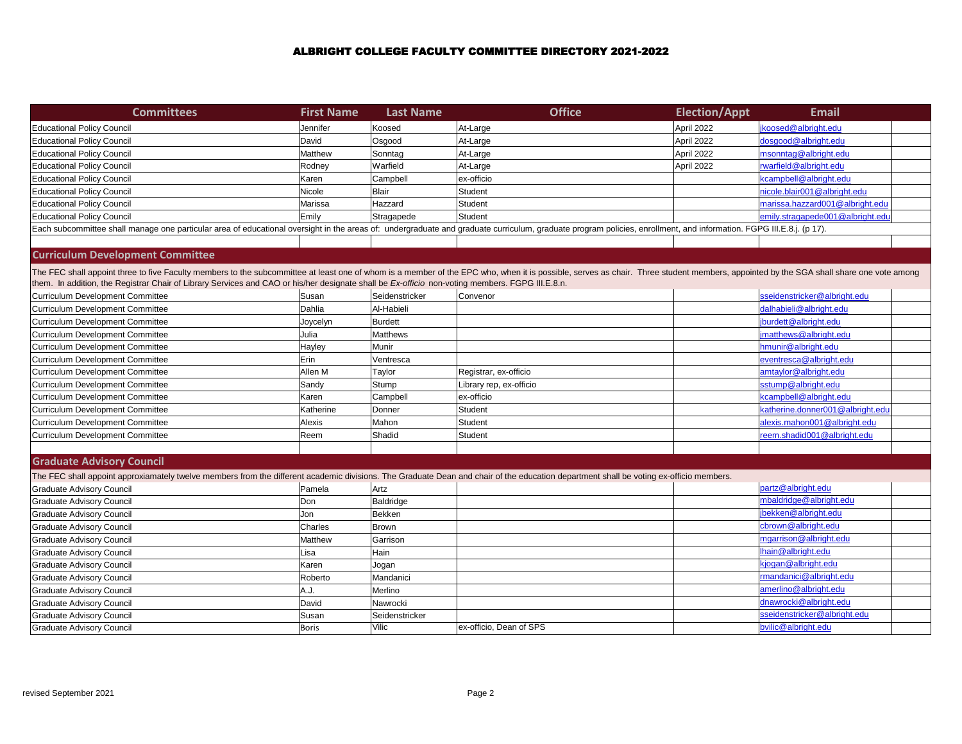| <b>Committees</b>                                                                                                                                                                                                                                                                                                                                                                 | <b>First Name</b> | <b>Last Name</b> | <b>Office</b>           | <b>Election/Appt</b> | <b>Email</b>                     |
|-----------------------------------------------------------------------------------------------------------------------------------------------------------------------------------------------------------------------------------------------------------------------------------------------------------------------------------------------------------------------------------|-------------------|------------------|-------------------------|----------------------|----------------------------------|
| <b>Educational Policy Council</b>                                                                                                                                                                                                                                                                                                                                                 | Jennifer          | Koosed           | At-Large                | April 2022           | jkoosed@albright.edu             |
| <b>Educational Policy Council</b>                                                                                                                                                                                                                                                                                                                                                 | David             | Osgood           | At-Large                | April 2022           | dosgood@albright.edu             |
| <b>Educational Policy Council</b>                                                                                                                                                                                                                                                                                                                                                 | Matthew           | Sonntag          | At-Large                | April 2022           | msonntag@albright.edu            |
| <b>Educational Policy Council</b>                                                                                                                                                                                                                                                                                                                                                 | Rodney            | Warfield         | At-Large                | April 2022           | rwarfield@albright.edu           |
| <b>Educational Policy Council</b>                                                                                                                                                                                                                                                                                                                                                 | Karen             | Campbell         | ex-officio              |                      | kcampbell@albright.edu           |
| <b>Educational Policy Council</b>                                                                                                                                                                                                                                                                                                                                                 | Nicole            | Blair            | Student                 |                      | nicole.blair001@albright.edu     |
| <b>Educational Policy Council</b>                                                                                                                                                                                                                                                                                                                                                 | Marissa           | Hazzard          | Student                 |                      | marissa.hazzard001@albright.edu  |
| <b>Educational Policy Council</b>                                                                                                                                                                                                                                                                                                                                                 | Emily             | Stragapede       | Student                 |                      | emily.stragapede001@albright.edu |
| Each subcommittee shall manage one particular area of educational oversight in the areas of: undergraduate and graduate curriculum, graduate program policies, enrollment, and information. FGPG III.E.8.j. (p 17).                                                                                                                                                               |                   |                  |                         |                      |                                  |
|                                                                                                                                                                                                                                                                                                                                                                                   |                   |                  |                         |                      |                                  |
| <b>Curriculum Development Committee</b>                                                                                                                                                                                                                                                                                                                                           |                   |                  |                         |                      |                                  |
| The FEC shall appoint three to five Faculty members to the subcommittee at least one of whom is a member of the EPC who, when it is possible, serves as chair. Three student members, appointed by the SGA shall share one vot<br>them. In addition, the Registrar Chair of Library Services and CAO or his/her designate shall be Ex-officio non-voting members. FGPG III.E.8.n. |                   |                  |                         |                      |                                  |
| Curriculum Development Committee                                                                                                                                                                                                                                                                                                                                                  | Susan             | Seidenstricker   | Convenor                |                      | sseidenstricker@albright.edu     |
| Curriculum Development Committee                                                                                                                                                                                                                                                                                                                                                  | Dahlia            | Al-Habieli       |                         |                      | dalhabieli@albright.edu          |
| Curriculum Development Committee                                                                                                                                                                                                                                                                                                                                                  | Joycelyn          | Burdett          |                         |                      | burdett@albright.edu             |
| Curriculum Development Committee                                                                                                                                                                                                                                                                                                                                                  | Julia             | <b>Matthews</b>  |                         |                      | imatthews@albright.edu           |
| Curriculum Development Committee                                                                                                                                                                                                                                                                                                                                                  | Hayley            | Munir            |                         |                      | hmunir@albright.edu              |
| Curriculum Development Committee                                                                                                                                                                                                                                                                                                                                                  | Erin              | Ventresca        |                         |                      | eventresca@albright.edu          |
| Curriculum Development Committee                                                                                                                                                                                                                                                                                                                                                  | Allen M           | Taylor           | Registrar, ex-officio   |                      | amtaylor@albright.edu            |
| Curriculum Development Committee                                                                                                                                                                                                                                                                                                                                                  | Sandy             | Stump            | Library rep, ex-officio |                      | sstump@albright.edu              |
| <b>Curriculum Development Committee</b>                                                                                                                                                                                                                                                                                                                                           | Karen             | Campbell         | ex-officio              |                      | kcampbell@albright.edu           |
| Curriculum Development Committee                                                                                                                                                                                                                                                                                                                                                  | Katherine         | Donner           | Student                 |                      | katherine.donner001@albright.edu |
| <b>Curriculum Development Committee</b>                                                                                                                                                                                                                                                                                                                                           | Alexis            | Mahon            | Student                 |                      | alexis.mahon001@albright.edu     |
| Curriculum Development Committee                                                                                                                                                                                                                                                                                                                                                  | Reem              | Shadid           | Student                 |                      | reem.shadid001@albright.edu      |
|                                                                                                                                                                                                                                                                                                                                                                                   |                   |                  |                         |                      |                                  |
| <b>Graduate Advisory Council</b>                                                                                                                                                                                                                                                                                                                                                  |                   |                  |                         |                      |                                  |
| The FEC shall appoint approxiamately twelve members from the different academic divisions. The Graduate Dean and chair of the education department shall be voting ex-officio members.                                                                                                                                                                                            |                   |                  |                         |                      |                                  |
| Graduate Advisory Council                                                                                                                                                                                                                                                                                                                                                         | Pamela            | Artz             |                         |                      | partz@albright.edu               |
| Graduate Advisory Council                                                                                                                                                                                                                                                                                                                                                         | Don               | Baldridge        |                         |                      | mbaldridge@albright.edu          |
| Graduate Advisory Council                                                                                                                                                                                                                                                                                                                                                         | Jon               | Bekken           |                         |                      | jbekken@albright.edu             |
| Graduate Advisory Council                                                                                                                                                                                                                                                                                                                                                         | Charles           | <b>Brown</b>     |                         |                      | cbrown@albright.edu              |
| <b>Graduate Advisory Council</b>                                                                                                                                                                                                                                                                                                                                                  | Matthew           | Garrison         |                         |                      | mgarrison@albright.edu           |
| <b>Graduate Advisory Council</b>                                                                                                                                                                                                                                                                                                                                                  | Lisa              | Hain             |                         |                      | lhain@albright.edu               |
| <b>Graduate Advisory Council</b>                                                                                                                                                                                                                                                                                                                                                  | Karen             | Jogan            |                         |                      | kjogan@albright.edu              |
| Graduate Advisory Council                                                                                                                                                                                                                                                                                                                                                         | Roberto           | Mandanici        |                         |                      | rmandanici@albright.edu          |
| <b>Graduate Advisory Council</b>                                                                                                                                                                                                                                                                                                                                                  | A.J.              | Merlino          |                         |                      | amerlino@albright.edu            |
| <b>Graduate Advisory Council</b>                                                                                                                                                                                                                                                                                                                                                  | David             | Nawrocki         |                         |                      | dnawrocki@albright.edu           |
| Graduate Advisory Council                                                                                                                                                                                                                                                                                                                                                         | Susan             | Seidenstricker   |                         |                      | sseidenstricker@albright.edu     |
| <b>Graduate Advisory Council</b>                                                                                                                                                                                                                                                                                                                                                  | <b>Boris</b>      | Vilic            | ex-officio, Dean of SPS |                      | bvilic@albright.edu              |
|                                                                                                                                                                                                                                                                                                                                                                                   |                   |                  |                         |                      |                                  |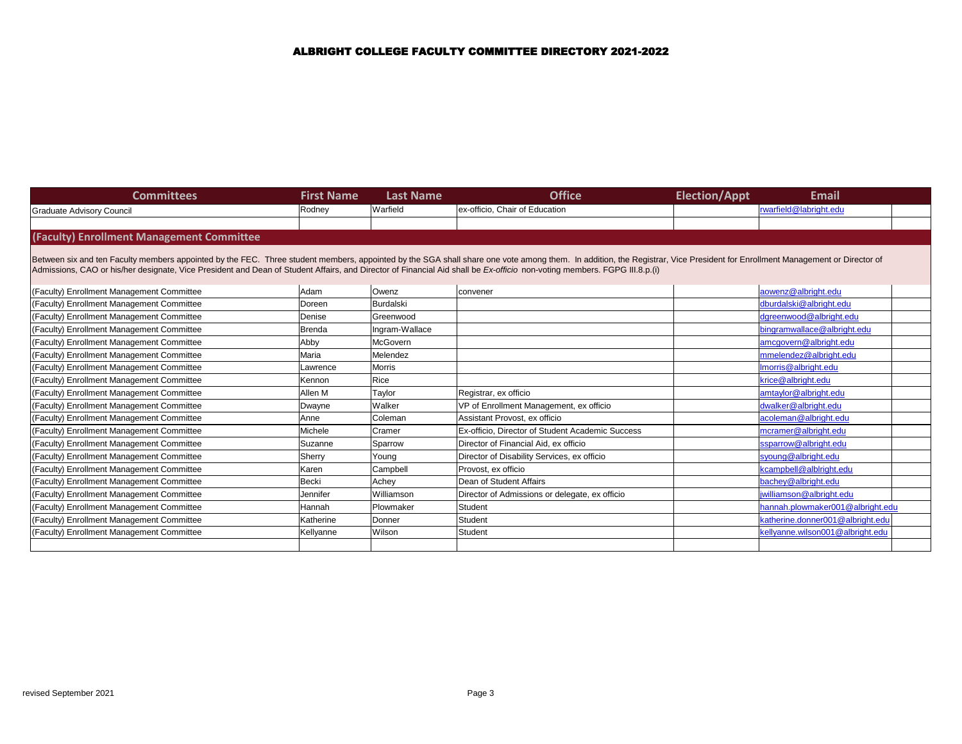| <b>Committees</b>                                                                                                                                                                                                                                                                                                                                                                                      | <b>First Name</b> | <b>Last Name</b> | <b>Office</b>                                    | <b>Election/Appt</b> | <b>Email</b>                     |
|--------------------------------------------------------------------------------------------------------------------------------------------------------------------------------------------------------------------------------------------------------------------------------------------------------------------------------------------------------------------------------------------------------|-------------------|------------------|--------------------------------------------------|----------------------|----------------------------------|
| <b>Graduate Advisory Council</b>                                                                                                                                                                                                                                                                                                                                                                       | Rodney            | Warfield         | ex-officio, Chair of Education                   |                      | rwarfield@labright.edu           |
|                                                                                                                                                                                                                                                                                                                                                                                                        |                   |                  |                                                  |                      |                                  |
| (Faculty) Enrollment Management Committee                                                                                                                                                                                                                                                                                                                                                              |                   |                  |                                                  |                      |                                  |
| Between six and ten Faculty members appointed by the FEC. Three student members, appointed by the SGA shall share one vote among them. In addition, the Registrar, Vice President for Enrollment Management or Director of<br>Admissions, CAO or his/her designate, Vice President and Dean of Student Affairs, and Director of Financial Aid shall be Ex-officio non-voting members. FGPG III.8.p.(i) |                   |                  |                                                  |                      |                                  |
| <b>Faculty) Enrollment Management Committee</b>                                                                                                                                                                                                                                                                                                                                                        | Adam              | Owenz            | convener                                         |                      | aowenz@albright.edu              |
| <b>Faculty) Enrollment Management Committee</b>                                                                                                                                                                                                                                                                                                                                                        | Doreen            | Burdalski        |                                                  |                      | dburdalski@albright.edu          |
| Faculty) Enrollment Management Committee                                                                                                                                                                                                                                                                                                                                                               | Denise            | Greenwood        |                                                  |                      | dgreenwood@albright.edu          |
| <b>Faculty) Enrollment Management Committee</b>                                                                                                                                                                                                                                                                                                                                                        | <b>Brenda</b>     | Ingram-Wallace   |                                                  |                      | bingramwallace@albright.edu      |
| <b>Faculty) Enrollment Management Committee</b>                                                                                                                                                                                                                                                                                                                                                        | Abby              | McGovern         |                                                  |                      | amcgovern@albright.edu           |
| Faculty) Enrollment Management Committee                                                                                                                                                                                                                                                                                                                                                               | Maria             | Melendez         |                                                  |                      | mmelendez@albright.edu           |
| <b>Faculty) Enrollment Management Committee</b>                                                                                                                                                                                                                                                                                                                                                        | Lawrence          | <b>Morris</b>    |                                                  |                      | Imorris@albright.edu             |
| <b>Faculty) Enrollment Management Committee</b>                                                                                                                                                                                                                                                                                                                                                        | Kennon            | Rice             |                                                  |                      | krice@albright.edu               |
| <b>Faculty) Enrollment Management Committee</b>                                                                                                                                                                                                                                                                                                                                                        | Allen M           | Taylor           | Registrar, ex officio                            |                      | amtaylor@albright.edu            |
| Faculty) Enrollment Management Committee                                                                                                                                                                                                                                                                                                                                                               | Dwayne            | Walker           | VP of Enrollment Management, ex officio          |                      | dwalker@albright.edu             |
| <b>Faculty) Enrollment Management Committee</b>                                                                                                                                                                                                                                                                                                                                                        | Anne              | Coleman          | Assistant Provost, ex officio                    |                      | acoleman@albright.edu            |
| <b>Faculty) Enrollment Management Committee</b>                                                                                                                                                                                                                                                                                                                                                        | Michele           | Cramer           | Ex-officio, Director of Student Academic Success |                      | mcramer@albright.edu             |
| <b>Faculty) Enrollment Management Committee</b>                                                                                                                                                                                                                                                                                                                                                        | Suzanne           | Sparrow          | Director of Financial Aid, ex officio            |                      | ssparrow@albright.edu            |
| Faculty) Enrollment Management Committee                                                                                                                                                                                                                                                                                                                                                               | Sherry            | Young            | Director of Disability Services, ex officio      |                      | syoung@albright.edu              |
| Faculty) Enrollment Management Committee                                                                                                                                                                                                                                                                                                                                                               | Karen             | Campbell         | Provost, ex officio                              |                      | kcampbell@alblright.edu          |
| <b>Faculty) Enrollment Management Committee</b>                                                                                                                                                                                                                                                                                                                                                        | Becki             | Achey            | Dean of Student Affairs                          |                      | bachey@albright.edu              |
| <b>Faculty) Enrollment Management Committee</b>                                                                                                                                                                                                                                                                                                                                                        | Jennifer          | Williamson       | Director of Admissions or delegate, ex officio   |                      | jwilliamson@albright.edu         |
| <b>Faculty) Enrollment Management Committee</b>                                                                                                                                                                                                                                                                                                                                                        | Hannah            | Plowmaker        | Student                                          |                      | hannah.plowmaker001@albright.edu |
| <b>Faculty) Enrollment Management Committee</b>                                                                                                                                                                                                                                                                                                                                                        | Katherine         | Donner           | Student                                          |                      | katherine.donner001@albright.edu |
| <b>Faculty) Enrollment Management Committee</b>                                                                                                                                                                                                                                                                                                                                                        | Kellyanne         | Wilson           | Student                                          |                      | kellyanne.wilson001@albright.edu |
|                                                                                                                                                                                                                                                                                                                                                                                                        |                   |                  |                                                  |                      |                                  |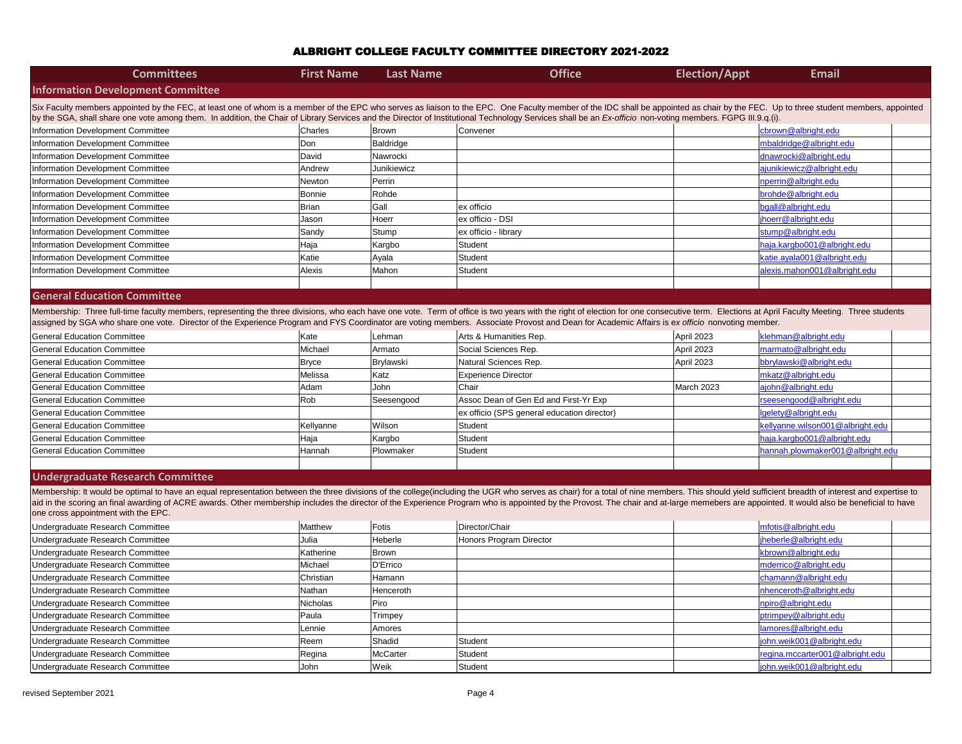| <b>Committees</b>                                                                                                                                                                                                              | <b>First Name</b> | <b>Last Name</b> | <b>Office</b>                               | <b>Election/Appt</b> | <b>Email</b>                     |
|--------------------------------------------------------------------------------------------------------------------------------------------------------------------------------------------------------------------------------|-------------------|------------------|---------------------------------------------|----------------------|----------------------------------|
| <b>Information Development Committee</b>                                                                                                                                                                                       |                   |                  |                                             |                      |                                  |
| Six Faculty members appointed by the FEC, at least one of whom is a member of the EPC who serves as liaison to the EPC. One Faculty member of the IDC shall be appointed as chair by the FEC. Up to three student members, and |                   |                  |                                             |                      |                                  |
| by the SGA, shall share one vote among them. In addition, the Chair of Library Services and the Director of Institutional Technology Services shall be an Ex-officio non-voting members. FGPG III.9.q.(i).                     |                   |                  |                                             |                      |                                  |
| nformation Development Committee                                                                                                                                                                                               | <b>Charles</b>    | Brown            | Convener                                    |                      | cbrown@albright.edu              |
| nformation Development Committee                                                                                                                                                                                               | Don               | Baldridge        |                                             |                      | mbaldridge@albright.edu          |
| nformation Development Committee                                                                                                                                                                                               | David             | Nawrocki         |                                             |                      | dnawrocki@albright.edu           |
| nformation Development Committee                                                                                                                                                                                               | Andrew            | Junikiewicz      |                                             |                      | ajunikiewicz@albright.edu        |
| nformation Development Committee                                                                                                                                                                                               | Newton            | Perrin           |                                             |                      | nperrin@albright.edu             |
| nformation Development Committee                                                                                                                                                                                               | <b>Bonnie</b>     | Rohde            |                                             |                      | brohde@albright.edu              |
| nformation Development Committee                                                                                                                                                                                               | Brian             | Gall             | ex officio                                  |                      | bgall@albright.edu               |
| nformation Development Committee                                                                                                                                                                                               | Jason             | Hoerr            | ex officio - DSI                            |                      | jhoerr@albright.edu              |
| nformation Development Committee                                                                                                                                                                                               | Sandy             | Stump            | ex officio - library                        |                      | stump@albright.edu               |
| nformation Development Committee                                                                                                                                                                                               | Haja              | Kargbo           | Student                                     |                      | haja.kargbo001@albright.edu      |
| nformation Development Committee                                                                                                                                                                                               | Katie             | Ayala            | Student                                     |                      | katie.ayala001@albright.edu      |
| nformation Development Committee                                                                                                                                                                                               | Alexis            | Mahon            | Student                                     |                      | alexis.mahon001@albright.edu     |
|                                                                                                                                                                                                                                |                   |                  |                                             |                      |                                  |
| <b>General Education Committee</b>                                                                                                                                                                                             |                   |                  |                                             |                      |                                  |
| Membership: Three full-time faculty members, representing the three divisions, who each have one vote. Term of office is two years with the right of election for one consecutive term. Elections at April Faculty Meeting. Th |                   |                  |                                             |                      |                                  |
| assigned by SGA who share one vote. Director of the Experience Program and FYS Coordinator are voting members. Associate Provost and Dean for Academic Affairs is ex officio nonvoting member.                                 |                   |                  |                                             |                      |                                  |
| <b>General Education Committee</b>                                                                                                                                                                                             | Kate              | Lehman           | Arts & Humanities Rep.                      | April 2023           | klehman@albright.edu             |
| <b>General Education Committee</b>                                                                                                                                                                                             | Michael           | Armato           | Social Sciences Rep.                        | April 2023           | marmato@albright.edu             |
| <b>General Education Committee</b>                                                                                                                                                                                             | Bryce             | Brylawski        | Natural Sciences Rep.                       | April 2023           | bbrylawski@albright.edu          |
| <b>General Education Committee</b>                                                                                                                                                                                             | Melissa           | Katz             | <b>Experience Director</b>                  |                      | mkatz@albright.edu               |
| <b>General Education Committee</b>                                                                                                                                                                                             | Adam              | John             | Chair                                       | March 2023           | ajohn@albright.edu               |
| <b>General Education Committee</b>                                                                                                                                                                                             | Rob               | Seesengood       | Assoc Dean of Gen Ed and First-Yr Exp       |                      | rseesengood@albright.edu         |
| <b>General Education Committee</b>                                                                                                                                                                                             |                   |                  | ex officio (SPS general education director) |                      | lgelety@albright.edu             |
| <b>General Education Committee</b>                                                                                                                                                                                             | Kellyanne         | Wilson           | Student                                     |                      | kellyanne.wilson001@albright.edu |
| <b>General Education Committee</b>                                                                                                                                                                                             | Haja              | Kargbo           | Student                                     |                      | haja.kargbo001@albright.edu      |
| <b>General Education Committee</b>                                                                                                                                                                                             | Hannah            | Plowmaker        | Student                                     |                      | hannah.plowmaker001@albright.e   |
|                                                                                                                                                                                                                                |                   |                  |                                             |                      |                                  |
| <b>Undergraduate Research Committee</b>                                                                                                                                                                                        |                   |                  |                                             |                      |                                  |
| Membership: It would be optimal to have an equal representation between the three divisions of the college(including the UGR who serves as chair) for a total of nine members. This should yield sufficient breadth of interes |                   |                  |                                             |                      |                                  |
| aid in the scoring an final awarding of ACRE awards. Other membership includes the director of the Experience Program who is appointed by the Provost. The chair and at-large memebers are appointed. It would also be benefic |                   |                  |                                             |                      |                                  |
| one cross appointment with the EPC.                                                                                                                                                                                            |                   |                  |                                             |                      |                                  |
| Undergraduate Research Committee                                                                                                                                                                                               | Matthew           | Fotis            | Director/Chair                              |                      | mfotis@albright.edu              |
| Undergraduate Research Committee                                                                                                                                                                                               | Julia             | Heberle          | Honors Program Director                     |                      | jheberle@albright.edu            |
| Undergraduate Research Committee                                                                                                                                                                                               | Katherine         | Brown            |                                             |                      | kbrown@albright.edu              |
| Undergraduate Research Committee                                                                                                                                                                                               | Michael           | D'Errico         |                                             |                      | mderrico@albright.edu            |
| Undergraduate Research Committee                                                                                                                                                                                               | Christian         | Hamann           |                                             |                      | chamann@albright.edu             |
| Undergraduate Research Committee                                                                                                                                                                                               | Nathan            | Henceroth        |                                             |                      | nhenceroth@albright.edu          |
| Undergraduate Research Committee                                                                                                                                                                                               | Nicholas          | Piro             |                                             |                      | npiro@albright.edu               |
| Undergraduate Research Committee                                                                                                                                                                                               | Paula             | Trimpey          |                                             |                      | ptrimpey@albright.edu            |
| Undergraduate Research Committee                                                                                                                                                                                               | Lennie            | Amores           |                                             |                      | lamores@albright.edu             |
| Undergraduate Research Committee                                                                                                                                                                                               | Reem              | Shadid           | Student                                     |                      | john.weik001@albright.edu        |
| Undergraduate Research Committee                                                                                                                                                                                               | Regina            | <b>McCarter</b>  | Student                                     |                      | regina.mccarter001@albright.edu  |
| Undergraduate Research Committee                                                                                                                                                                                               | John              | Weik             | Student                                     |                      | john.weik001@albright.edu        |

# mbaldridge@albright.edu ajunikiewicz@albright.edu [haja.kargbo001@albright.edu](mailto:haja.kargbo001@albright.edu) katie ayala001@albright.edu [alexis.mahon001@albright.edu](mailto:alexis.mahon001@albright.edu) klehman @albright.edu marmato@albright.edu [bbrylawski@albright.edu](mailto:bbrylawski@albright.edu) [rseesengood@albright.edu](mailto:rseesengood@albright.edu) kellyanne wilson001@albright.edu [haja.kargbo001@albright.edu](mailto:haja.kargbo001@albright.edu) hannah plowmaker001@albright.edu mderrico@albright.edu chamann@albright.edu April Faculty Meeting. Three students C. Up to three student members, appointed fficient breadth of interest and expertise to ointed. It would also be beneficial to have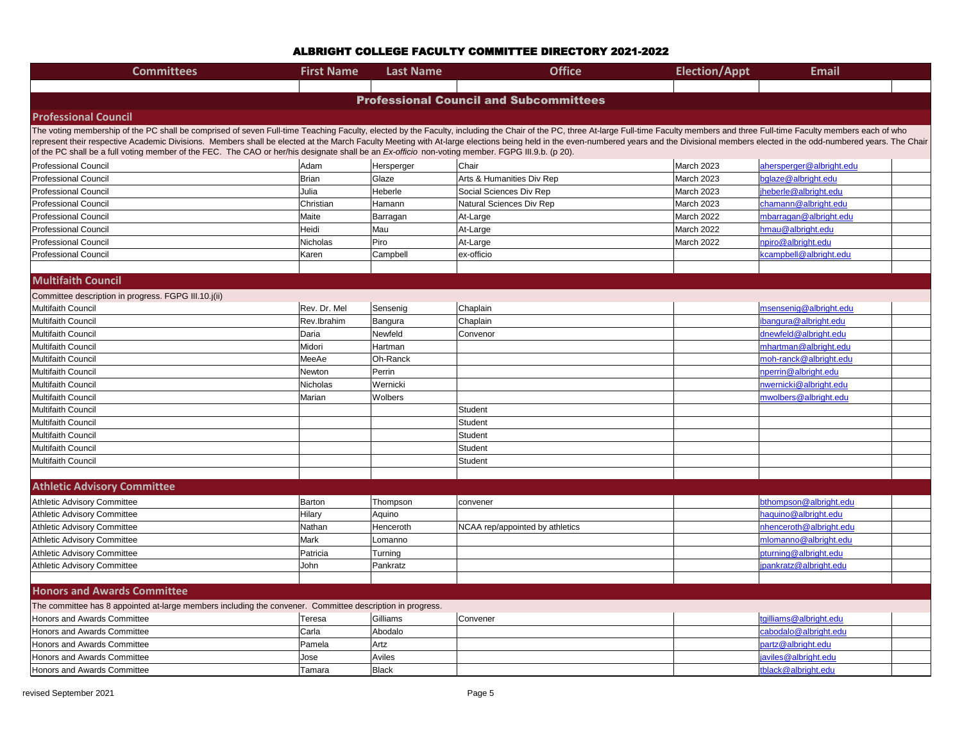| <b>Committees</b>                                                                                         | <b>First Name</b>                                                                                                                                                                                                                                                                                                                                                                                                                                                                                                                                                                                                    | <b>Last Name</b> | <b>Office</b>                   | <b>Election/Appt</b> | <b>Email</b>             |  |  |  |  |
|-----------------------------------------------------------------------------------------------------------|----------------------------------------------------------------------------------------------------------------------------------------------------------------------------------------------------------------------------------------------------------------------------------------------------------------------------------------------------------------------------------------------------------------------------------------------------------------------------------------------------------------------------------------------------------------------------------------------------------------------|------------------|---------------------------------|----------------------|--------------------------|--|--|--|--|
|                                                                                                           |                                                                                                                                                                                                                                                                                                                                                                                                                                                                                                                                                                                                                      |                  |                                 |                      |                          |  |  |  |  |
| <b>Professional Council and Subcommittees</b>                                                             |                                                                                                                                                                                                                                                                                                                                                                                                                                                                                                                                                                                                                      |                  |                                 |                      |                          |  |  |  |  |
| <b>Professional Council</b>                                                                               |                                                                                                                                                                                                                                                                                                                                                                                                                                                                                                                                                                                                                      |                  |                                 |                      |                          |  |  |  |  |
|                                                                                                           | The voting membership of the PC shall be comprised of seven Full-time Teaching Faculty, elected by the Faculty, including the Chair of the PC, three At-large Full-time Faculty members and three Full-time Faculty members ea<br>represent their respective Academic Divisions. Members shall be elected at the March Faculty Meeting with At-large elections being held in the even-numbered years and the Divisional members elected in the odd-numbered year<br>of the PC shall be a full voting member of the FEC. The CAO or her/his designate shall be an Ex-officio non-voting member. FGPG III.9.b. (p 20). |                  |                                 |                      |                          |  |  |  |  |
| <b>Professional Council</b>                                                                               | Adam                                                                                                                                                                                                                                                                                                                                                                                                                                                                                                                                                                                                                 | Hersperger       | Chair                           | March 2023           | ahersperger@albright.edu |  |  |  |  |
| <b>Professional Council</b>                                                                               | <b>Brian</b>                                                                                                                                                                                                                                                                                                                                                                                                                                                                                                                                                                                                         | Glaze            | Arts & Humanities Div Rep       | March 2023           | bglaze@albright.edu      |  |  |  |  |
| <b>Professional Council</b>                                                                               | Julia                                                                                                                                                                                                                                                                                                                                                                                                                                                                                                                                                                                                                | Heberle          | Social Sciences Div Rep         | March 2023           | jheberle@albright.edu    |  |  |  |  |
| <b>Professional Council</b>                                                                               | Christian                                                                                                                                                                                                                                                                                                                                                                                                                                                                                                                                                                                                            | Hamann           | Natural Sciences Div Rep        | March 2023           | chamann@albright.edu     |  |  |  |  |
| <b>Professional Council</b>                                                                               | Maite                                                                                                                                                                                                                                                                                                                                                                                                                                                                                                                                                                                                                | Barragan         | At-Large                        | March 2022           | mbarragan@albright.edu   |  |  |  |  |
| <b>Professional Council</b>                                                                               | Heidi                                                                                                                                                                                                                                                                                                                                                                                                                                                                                                                                                                                                                | Mau              | At-Large                        | March 2022           | hmau@albright.edu        |  |  |  |  |
| <b>Professional Council</b>                                                                               | Nicholas                                                                                                                                                                                                                                                                                                                                                                                                                                                                                                                                                                                                             | Piro             | At-Large                        | March 2022           | npiro@albright.edu       |  |  |  |  |
| <b>Professional Council</b>                                                                               | Karen                                                                                                                                                                                                                                                                                                                                                                                                                                                                                                                                                                                                                | Campbell         | ex-officio                      |                      | kcampbell@albright.edu   |  |  |  |  |
|                                                                                                           |                                                                                                                                                                                                                                                                                                                                                                                                                                                                                                                                                                                                                      |                  |                                 |                      |                          |  |  |  |  |
| <b>Multifaith Council</b>                                                                                 |                                                                                                                                                                                                                                                                                                                                                                                                                                                                                                                                                                                                                      |                  |                                 |                      |                          |  |  |  |  |
| Committee description in progress. FGPG III.10.j(ii)                                                      |                                                                                                                                                                                                                                                                                                                                                                                                                                                                                                                                                                                                                      |                  |                                 |                      |                          |  |  |  |  |
| <b>Multifaith Council</b>                                                                                 | Rev. Dr. Mel                                                                                                                                                                                                                                                                                                                                                                                                                                                                                                                                                                                                         | Sensenig         | Chaplain                        |                      | msensenig@albright.edu   |  |  |  |  |
| <b>Multifaith Council</b>                                                                                 | Rev.lbrahim                                                                                                                                                                                                                                                                                                                                                                                                                                                                                                                                                                                                          | Bangura          | Chaplain                        |                      | ibangura@albright.edu    |  |  |  |  |
| <b>Multifaith Council</b>                                                                                 | Daria                                                                                                                                                                                                                                                                                                                                                                                                                                                                                                                                                                                                                | Newfeld          | Convenor                        |                      | dnewfeld@albright.edu    |  |  |  |  |
| <b>Multifaith Council</b>                                                                                 | Midori                                                                                                                                                                                                                                                                                                                                                                                                                                                                                                                                                                                                               | Hartman          |                                 |                      | mhartman@albright.edu    |  |  |  |  |
| <b>Multifaith Council</b>                                                                                 | MeeAe                                                                                                                                                                                                                                                                                                                                                                                                                                                                                                                                                                                                                | Oh-Ranck         |                                 |                      | moh-ranck@albright.edu   |  |  |  |  |
| Multifaith Council                                                                                        | Newton                                                                                                                                                                                                                                                                                                                                                                                                                                                                                                                                                                                                               | Perrin           |                                 |                      | nperrin@albright.edu     |  |  |  |  |
| <b>Multifaith Council</b>                                                                                 | Nicholas                                                                                                                                                                                                                                                                                                                                                                                                                                                                                                                                                                                                             | Wernicki         |                                 |                      | nwernicki@albright.edu   |  |  |  |  |
| Multifaith Council                                                                                        | Marian                                                                                                                                                                                                                                                                                                                                                                                                                                                                                                                                                                                                               | Wolbers          |                                 |                      | mwolbers@albright.edu    |  |  |  |  |
| <b>Multifaith Council</b>                                                                                 |                                                                                                                                                                                                                                                                                                                                                                                                                                                                                                                                                                                                                      |                  | Student                         |                      |                          |  |  |  |  |
| <b>Multifaith Council</b>                                                                                 |                                                                                                                                                                                                                                                                                                                                                                                                                                                                                                                                                                                                                      |                  | Student                         |                      |                          |  |  |  |  |
| Multifaith Council                                                                                        |                                                                                                                                                                                                                                                                                                                                                                                                                                                                                                                                                                                                                      |                  | Student                         |                      |                          |  |  |  |  |
| Multifaith Council                                                                                        |                                                                                                                                                                                                                                                                                                                                                                                                                                                                                                                                                                                                                      |                  | Student                         |                      |                          |  |  |  |  |
| Multifaith Council                                                                                        |                                                                                                                                                                                                                                                                                                                                                                                                                                                                                                                                                                                                                      |                  | Student                         |                      |                          |  |  |  |  |
|                                                                                                           |                                                                                                                                                                                                                                                                                                                                                                                                                                                                                                                                                                                                                      |                  |                                 |                      |                          |  |  |  |  |
| <b>Athletic Advisory Committee</b>                                                                        |                                                                                                                                                                                                                                                                                                                                                                                                                                                                                                                                                                                                                      |                  |                                 |                      |                          |  |  |  |  |
| Athletic Advisory Committee                                                                               | Barton                                                                                                                                                                                                                                                                                                                                                                                                                                                                                                                                                                                                               | Thompson         | convener                        |                      | bthompson@albright.edu   |  |  |  |  |
| Athletic Advisory Committee                                                                               | Hilary                                                                                                                                                                                                                                                                                                                                                                                                                                                                                                                                                                                                               | Aquino           |                                 |                      | haquino@albright.edu     |  |  |  |  |
| Athletic Advisory Committee                                                                               | Nathan                                                                                                                                                                                                                                                                                                                                                                                                                                                                                                                                                                                                               | Henceroth        | NCAA rep/appointed by athletics |                      | nhenceroth@albright.edu  |  |  |  |  |
| Athletic Advisory Committee                                                                               | Mark                                                                                                                                                                                                                                                                                                                                                                                                                                                                                                                                                                                                                 | Lomanno          |                                 |                      | mlomanno@albright.edu    |  |  |  |  |
| Athletic Advisory Committee                                                                               | Patricia                                                                                                                                                                                                                                                                                                                                                                                                                                                                                                                                                                                                             | Turning          |                                 |                      | pturning@albright.edu    |  |  |  |  |
| Athletic Advisory Committee                                                                               | John                                                                                                                                                                                                                                                                                                                                                                                                                                                                                                                                                                                                                 | Pankratz         |                                 |                      | jpankratz@albright.edu   |  |  |  |  |
|                                                                                                           |                                                                                                                                                                                                                                                                                                                                                                                                                                                                                                                                                                                                                      |                  |                                 |                      |                          |  |  |  |  |
| <b>Honors and Awards Committee</b>                                                                        |                                                                                                                                                                                                                                                                                                                                                                                                                                                                                                                                                                                                                      |                  |                                 |                      |                          |  |  |  |  |
| The committee has 8 appointed at-large members including the convener. Committee description in progress. |                                                                                                                                                                                                                                                                                                                                                                                                                                                                                                                                                                                                                      |                  |                                 |                      |                          |  |  |  |  |
| Honors and Awards Committee                                                                               | Teresa                                                                                                                                                                                                                                                                                                                                                                                                                                                                                                                                                                                                               | Gilliams         | Convener                        |                      | tgilliams@albright.edu   |  |  |  |  |
| Honors and Awards Committee                                                                               | Carla                                                                                                                                                                                                                                                                                                                                                                                                                                                                                                                                                                                                                | Abodalo          |                                 |                      | cabodalo@albright.edu    |  |  |  |  |
| Honors and Awards Committee                                                                               | Pamela                                                                                                                                                                                                                                                                                                                                                                                                                                                                                                                                                                                                               | Artz             |                                 |                      | partz@albright.edu       |  |  |  |  |
| <b>Honors and Awards Committee</b>                                                                        | Jose                                                                                                                                                                                                                                                                                                                                                                                                                                                                                                                                                                                                                 | Aviles           |                                 |                      | javiles@albright.edu     |  |  |  |  |
| Honors and Awards Committee                                                                               | Tamara                                                                                                                                                                                                                                                                                                                                                                                                                                                                                                                                                                                                               | Black            |                                 |                      | tblack@albright.edu      |  |  |  |  |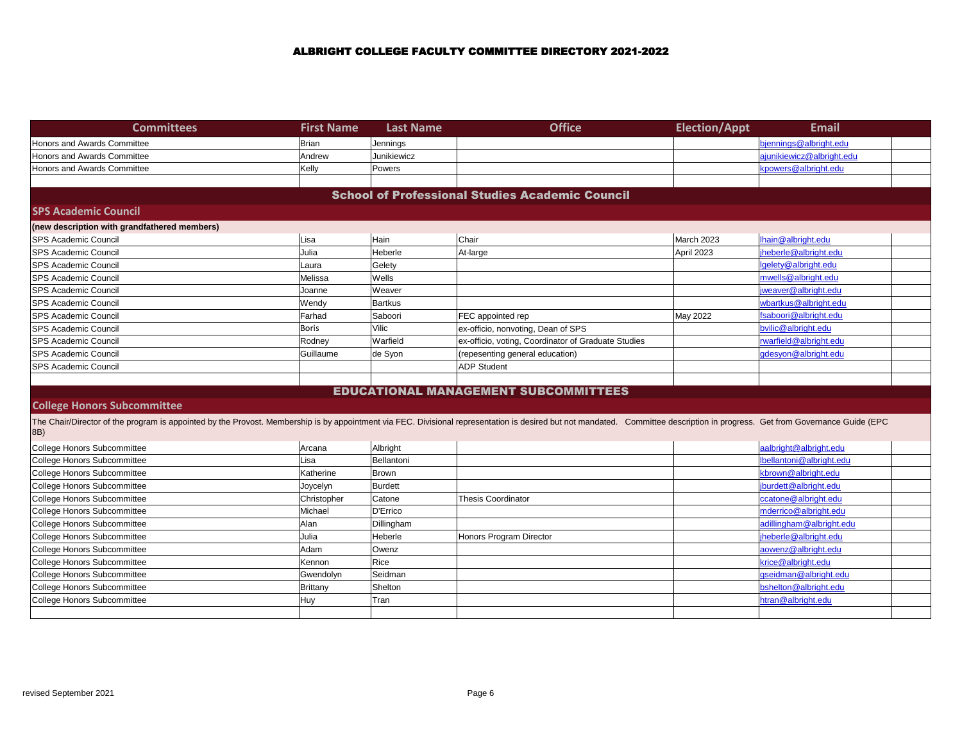| <b>Committees</b>                                                                                                                                                                                                                    | <b>First Name</b> | <b>Last Name</b> | <b>Office</b>                                       | <b>Election/Appt</b> | <b>Email</b>              |  |  |  |  |  |
|--------------------------------------------------------------------------------------------------------------------------------------------------------------------------------------------------------------------------------------|-------------------|------------------|-----------------------------------------------------|----------------------|---------------------------|--|--|--|--|--|
| <b>Honors and Awards Committee</b>                                                                                                                                                                                                   | <b>Brian</b>      | Jennings         |                                                     |                      | bjennings@albright.edu    |  |  |  |  |  |
| <b>Honors and Awards Committee</b>                                                                                                                                                                                                   | Andrew            | Junikiewicz      |                                                     |                      | ajunikiewicz@albright.edu |  |  |  |  |  |
| Honors and Awards Committee                                                                                                                                                                                                          | Kelly             | Powers           |                                                     |                      | kpowers@albright.edu      |  |  |  |  |  |
|                                                                                                                                                                                                                                      |                   |                  |                                                     |                      |                           |  |  |  |  |  |
| <b>School of Professional Studies Academic Council</b>                                                                                                                                                                               |                   |                  |                                                     |                      |                           |  |  |  |  |  |
| <b>SPS Academic Council</b>                                                                                                                                                                                                          |                   |                  |                                                     |                      |                           |  |  |  |  |  |
| (new description with grandfathered members)                                                                                                                                                                                         |                   |                  |                                                     |                      |                           |  |  |  |  |  |
| <b>SPS Academic Council</b>                                                                                                                                                                                                          | Lisa              | Hain             | Chair                                               | March 2023           | lhain@albright.edu        |  |  |  |  |  |
| <b>SPS Academic Council</b>                                                                                                                                                                                                          | Julia             | Heberle          | At-large                                            | April 2023           | jheberle@albright.edu     |  |  |  |  |  |
| <b>SPS Academic Council</b>                                                                                                                                                                                                          | Laura             | Gelety           |                                                     |                      | lgelety@albright.edu      |  |  |  |  |  |
| <b>SPS Academic Council</b>                                                                                                                                                                                                          | Melissa           | Wells            |                                                     |                      | mwells@albright.edu       |  |  |  |  |  |
| <b>SPS Academic Council</b>                                                                                                                                                                                                          | Joanne            | Weaver           |                                                     |                      | jweaver@albright.edu      |  |  |  |  |  |
| <b>SPS Academic Council</b>                                                                                                                                                                                                          | Wendy             | <b>Bartkus</b>   |                                                     |                      | wbartkus@albright.edu     |  |  |  |  |  |
| <b>SPS Academic Council</b>                                                                                                                                                                                                          | Farhad            | Saboori          | FEC appointed rep                                   | May 2022             | fsaboori@albright.edu     |  |  |  |  |  |
| <b>SPS Academic Council</b>                                                                                                                                                                                                          | <b>Boris</b>      | Vilic            | ex-officio, nonvoting, Dean of SPS                  |                      | bvilic@albright.edu       |  |  |  |  |  |
| <b>SPS Academic Council</b>                                                                                                                                                                                                          | Rodney            | Warfield         | ex-officio, voting, Coordinator of Graduate Studies |                      | rwarfield@albright.edu    |  |  |  |  |  |
| <b>SPS Academic Council</b>                                                                                                                                                                                                          | Guillaume         | de Syon          | (repesenting general education)                     |                      | gdesyon@albright.edu      |  |  |  |  |  |
| <b>SPS Academic Council</b>                                                                                                                                                                                                          |                   |                  | <b>ADP Student</b>                                  |                      |                           |  |  |  |  |  |
|                                                                                                                                                                                                                                      |                   |                  |                                                     |                      |                           |  |  |  |  |  |
|                                                                                                                                                                                                                                      |                   |                  | <b>EDUCATIONAL MANAGEMENT SUBCOMMITTEES</b>         |                      |                           |  |  |  |  |  |
| <b>College Honors Subcommittee</b>                                                                                                                                                                                                   |                   |                  |                                                     |                      |                           |  |  |  |  |  |
| The Chair/Director of the program is appointed by the Provost. Membership is by appointment via FEC. Divisional representation is desired but not mandated. Committee description in progress. Get from Governance Guide (EPC<br>8B) |                   |                  |                                                     |                      |                           |  |  |  |  |  |
| <b>College Honors Subcommittee</b>                                                                                                                                                                                                   | Arcana            | Albright         |                                                     |                      | aalbright@albright.edu    |  |  |  |  |  |
| College Honors Subcommittee                                                                                                                                                                                                          | Lisa              | Bellantoni       |                                                     |                      | Ibellantoni@albright.edu  |  |  |  |  |  |
| <b>College Honors Subcommittee</b>                                                                                                                                                                                                   | Katherine         | <b>Brown</b>     |                                                     |                      | kbrown@albright.edu       |  |  |  |  |  |
| <b>College Honors Subcommittee</b>                                                                                                                                                                                                   | Joycelyn          | <b>Burdett</b>   |                                                     |                      | jburdett@albright.edu     |  |  |  |  |  |
| College Honors Subcommittee                                                                                                                                                                                                          | Christopher       | Catone           | <b>Thesis Coordinator</b>                           |                      | ccatone@albright.edu      |  |  |  |  |  |
| <b>College Honors Subcommittee</b>                                                                                                                                                                                                   | Michael           | D'Errico         |                                                     |                      | mderrico@albright.edu     |  |  |  |  |  |
| College Honors Subcommittee                                                                                                                                                                                                          | Alan              | Dillingham       |                                                     |                      | adillingham@albright.edu  |  |  |  |  |  |
| College Honors Subcommittee                                                                                                                                                                                                          | Julia             | Heberle          | Honors Program Director                             |                      | jheberle@albright.edu     |  |  |  |  |  |
| College Honors Subcommittee                                                                                                                                                                                                          | Adam              | Owenz            |                                                     |                      | aowenz@albright.edu       |  |  |  |  |  |
| College Honors Subcommittee                                                                                                                                                                                                          | Kennon            | Rice             |                                                     |                      | krice@albright.edu        |  |  |  |  |  |
| College Honors Subcommittee                                                                                                                                                                                                          | Gwendolyn         | Seidman          |                                                     |                      | gseidman@albright.edu     |  |  |  |  |  |
| <b>College Honors Subcommittee</b>                                                                                                                                                                                                   | <b>Brittany</b>   | Shelton          |                                                     |                      | bshelton@albright.edu     |  |  |  |  |  |
| College Honors Subcommittee                                                                                                                                                                                                          | Huy               | Tran             |                                                     |                      | htran@albright.edu        |  |  |  |  |  |
|                                                                                                                                                                                                                                      |                   |                  |                                                     |                      |                           |  |  |  |  |  |
|                                                                                                                                                                                                                                      |                   |                  |                                                     |                      |                           |  |  |  |  |  |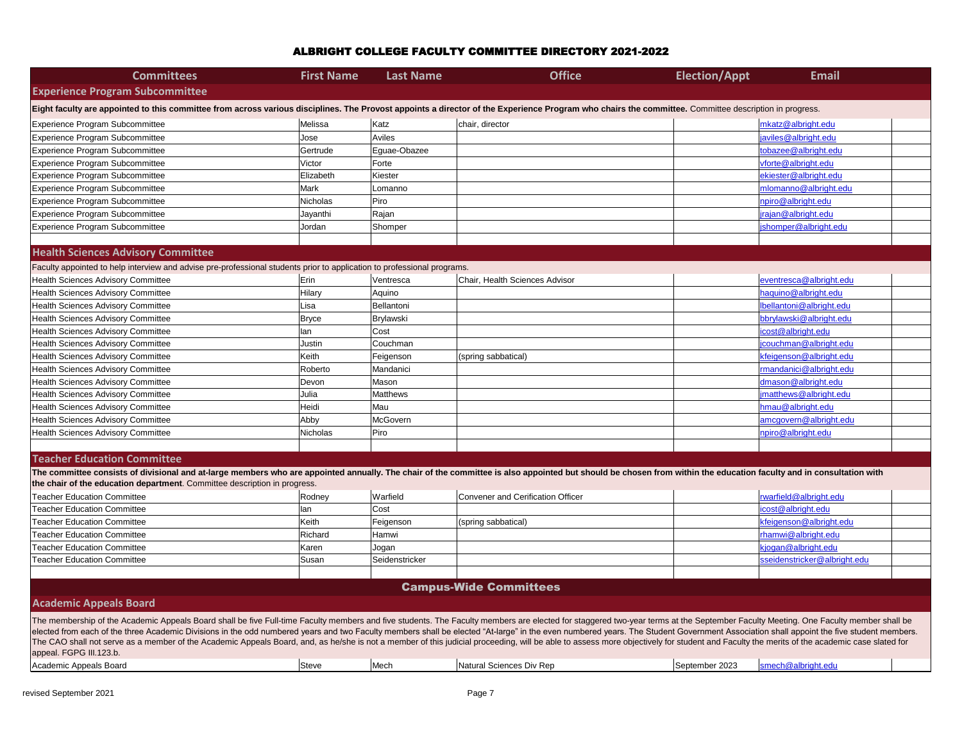The CAO shall not serve as a member of the Academic Appeals Board, and, as he/she is not a member of this judicial proceeding, will be able to assess more objectively for student and Faculty the merits of the academic case appeal. FGPG III.123.b.

| <b>Committees</b>                                                                                                                                                                                                                                                                                                                                                                                                                                               | <b>First Name</b> | <b>Last Name</b> | <b>Office</b>                     | <b>Election/Appt</b> | <b>Email</b>                 |  |  |  |
|-----------------------------------------------------------------------------------------------------------------------------------------------------------------------------------------------------------------------------------------------------------------------------------------------------------------------------------------------------------------------------------------------------------------------------------------------------------------|-------------------|------------------|-----------------------------------|----------------------|------------------------------|--|--|--|
| <b>Experience Program Subcommittee</b>                                                                                                                                                                                                                                                                                                                                                                                                                          |                   |                  |                                   |                      |                              |  |  |  |
| Eight faculty are appointed to this committee from across various disciplines. The Provost appoints a director of the Experience Program who chairs the committee. Committee description in progress.                                                                                                                                                                                                                                                           |                   |                  |                                   |                      |                              |  |  |  |
| Experience Program Subcommittee                                                                                                                                                                                                                                                                                                                                                                                                                                 | Melissa           | Katz             | chair, director                   |                      | mkatz@albright.edu           |  |  |  |
| Experience Program Subcommittee                                                                                                                                                                                                                                                                                                                                                                                                                                 | Jose              | Aviles           |                                   |                      | javiles@albright.edu         |  |  |  |
| Experience Program Subcommittee                                                                                                                                                                                                                                                                                                                                                                                                                                 | Gertrude          | Eguae-Obazee     |                                   |                      | tobazee@albright.edu         |  |  |  |
| Experience Program Subcommittee                                                                                                                                                                                                                                                                                                                                                                                                                                 | Victor            | Forte            |                                   |                      | vforte@albright.edu          |  |  |  |
| Experience Program Subcommittee                                                                                                                                                                                                                                                                                                                                                                                                                                 | Elizabeth         | Kiester          |                                   |                      | ekiester@albright.edu        |  |  |  |
| Experience Program Subcommittee                                                                                                                                                                                                                                                                                                                                                                                                                                 | Mark              | Lomanno          |                                   |                      | mlomanno@albright.edu        |  |  |  |
| Experience Program Subcommittee                                                                                                                                                                                                                                                                                                                                                                                                                                 | Nicholas          | Piro             |                                   |                      | npiro@albright.edu           |  |  |  |
| Experience Program Subcommittee                                                                                                                                                                                                                                                                                                                                                                                                                                 | Jayanthi          | Rajan            |                                   |                      | jrajan@albright.edu          |  |  |  |
| Experience Program Subcommittee                                                                                                                                                                                                                                                                                                                                                                                                                                 | Jordan            | Shomper          |                                   |                      | shomper@albright.edu         |  |  |  |
|                                                                                                                                                                                                                                                                                                                                                                                                                                                                 |                   |                  |                                   |                      |                              |  |  |  |
| <b>Health Sciences Advisory Committee</b>                                                                                                                                                                                                                                                                                                                                                                                                                       |                   |                  |                                   |                      |                              |  |  |  |
| Faculty appointed to help interview and advise pre-professional students prior to application to professional programs.                                                                                                                                                                                                                                                                                                                                         |                   |                  |                                   |                      |                              |  |  |  |
| Health Sciences Advisory Committee                                                                                                                                                                                                                                                                                                                                                                                                                              | Erin              | Ventresca        | Chair, Health Sciences Advisor    |                      | eventresca@albright.edu      |  |  |  |
| <b>Health Sciences Advisory Committee</b>                                                                                                                                                                                                                                                                                                                                                                                                                       | Hilary            | Aquino           |                                   |                      | haquino@albright.edu         |  |  |  |
| Health Sciences Advisory Committee                                                                                                                                                                                                                                                                                                                                                                                                                              | Lisa              | Bellantoni       |                                   |                      | Ibellantoni@albright.edu     |  |  |  |
| <b>Health Sciences Advisory Committee</b>                                                                                                                                                                                                                                                                                                                                                                                                                       | <b>Bryce</b>      | Brylawski        |                                   |                      | bbrylawski@albright.edu      |  |  |  |
| <b>Health Sciences Advisory Committee</b>                                                                                                                                                                                                                                                                                                                                                                                                                       | lan               | Cost             |                                   |                      | icost@albright.edu           |  |  |  |
| <b>Health Sciences Advisory Committee</b>                                                                                                                                                                                                                                                                                                                                                                                                                       | Justin            | Couchman         |                                   |                      | icouchman@albright.edu       |  |  |  |
| Health Sciences Advisory Committee                                                                                                                                                                                                                                                                                                                                                                                                                              | Keith             | Feigenson        | (spring sabbatical)               |                      | kfeigenson@albright.edu      |  |  |  |
| <b>Health Sciences Advisory Committee</b>                                                                                                                                                                                                                                                                                                                                                                                                                       | Roberto           | Mandanici        |                                   |                      | rmandanici@albright.edu      |  |  |  |
| Health Sciences Advisory Committee                                                                                                                                                                                                                                                                                                                                                                                                                              | Devon             | Mason            |                                   |                      | dmason@albright.edu          |  |  |  |
| <b>Health Sciences Advisory Committee</b>                                                                                                                                                                                                                                                                                                                                                                                                                       | Julia             | <b>Matthews</b>  |                                   |                      | imatthews@albright.edu       |  |  |  |
| Health Sciences Advisory Committee                                                                                                                                                                                                                                                                                                                                                                                                                              | Heidi             | Mau              |                                   |                      | hmau@albright.edu            |  |  |  |
| <b>Health Sciences Advisory Committee</b>                                                                                                                                                                                                                                                                                                                                                                                                                       | Abby              | McGovern         |                                   |                      | amcgovern@albright.edu       |  |  |  |
| Health Sciences Advisory Committee                                                                                                                                                                                                                                                                                                                                                                                                                              | Nicholas          | Piro             |                                   |                      | npiro@albright.edu           |  |  |  |
|                                                                                                                                                                                                                                                                                                                                                                                                                                                                 |                   |                  |                                   |                      |                              |  |  |  |
| <b>Teacher Education Committee</b>                                                                                                                                                                                                                                                                                                                                                                                                                              |                   |                  |                                   |                      |                              |  |  |  |
| The committee consists of divisional and at-large members who are appointed annually. The chair of the committee is also appointed but should be chosen from within the education faculty and in consultation with                                                                                                                                                                                                                                              |                   |                  |                                   |                      |                              |  |  |  |
| the chair of the education department. Committee description in progress.                                                                                                                                                                                                                                                                                                                                                                                       |                   |                  |                                   |                      |                              |  |  |  |
| <b>Teacher Education Committee</b>                                                                                                                                                                                                                                                                                                                                                                                                                              | Rodney            | Warfield         | Convener and Cerification Officer |                      | rwarfield@albright.edu       |  |  |  |
| <b>Teacher Education Committee</b>                                                                                                                                                                                                                                                                                                                                                                                                                              | lan               | Cost             |                                   |                      | icost@albright.edu           |  |  |  |
| <b>Teacher Education Committee</b>                                                                                                                                                                                                                                                                                                                                                                                                                              | Keith             | Feigenson        | (spring sabbatical)               |                      | kfeigenson@albright.edu      |  |  |  |
| Teacher Education Committee                                                                                                                                                                                                                                                                                                                                                                                                                                     | Richard           | Hamwi            |                                   |                      | rhamwi@albright.edu          |  |  |  |
| <b>Teacher Education Committee</b>                                                                                                                                                                                                                                                                                                                                                                                                                              | Karen             | Jogan            |                                   |                      | kjogan@albright.edu          |  |  |  |
| <b>Teacher Education Committee</b>                                                                                                                                                                                                                                                                                                                                                                                                                              | Susan             | Seidenstricker   |                                   |                      | sseidenstricker@albright.edu |  |  |  |
|                                                                                                                                                                                                                                                                                                                                                                                                                                                                 |                   |                  |                                   |                      |                              |  |  |  |
|                                                                                                                                                                                                                                                                                                                                                                                                                                                                 |                   |                  | <b>Campus-Wide Committees</b>     |                      |                              |  |  |  |
| <b>Academic Appeals Board</b>                                                                                                                                                                                                                                                                                                                                                                                                                                   |                   |                  |                                   |                      |                              |  |  |  |
|                                                                                                                                                                                                                                                                                                                                                                                                                                                                 |                   |                  |                                   |                      |                              |  |  |  |
| The membership of the Academic Appeals Board shall be five Full-time Faculty members and five students. The Faculty members are elected for staggered two-year terms at the September Faculty Meeting. One Faculty member shal<br>elected from each of the three Academic Divisions in the odd numbered years and two Faculty members shall be elected "At-large" in the even numbered years. The Student Government Association shall appoint the five student |                   |                  |                                   |                      |                              |  |  |  |

| Academic<br>Appeals Board<br>annaak : | <sup>I</sup> Steve | 100 <sub>on</sub><br><b>INIGALI</b> | l Sciences Div Rep<br>Natu | September 2023 | $\mathsf{Im}\epsilon$ |
|---------------------------------------|--------------------|-------------------------------------|----------------------------|----------------|-----------------------|
|                                       |                    |                                     |                            |                |                       |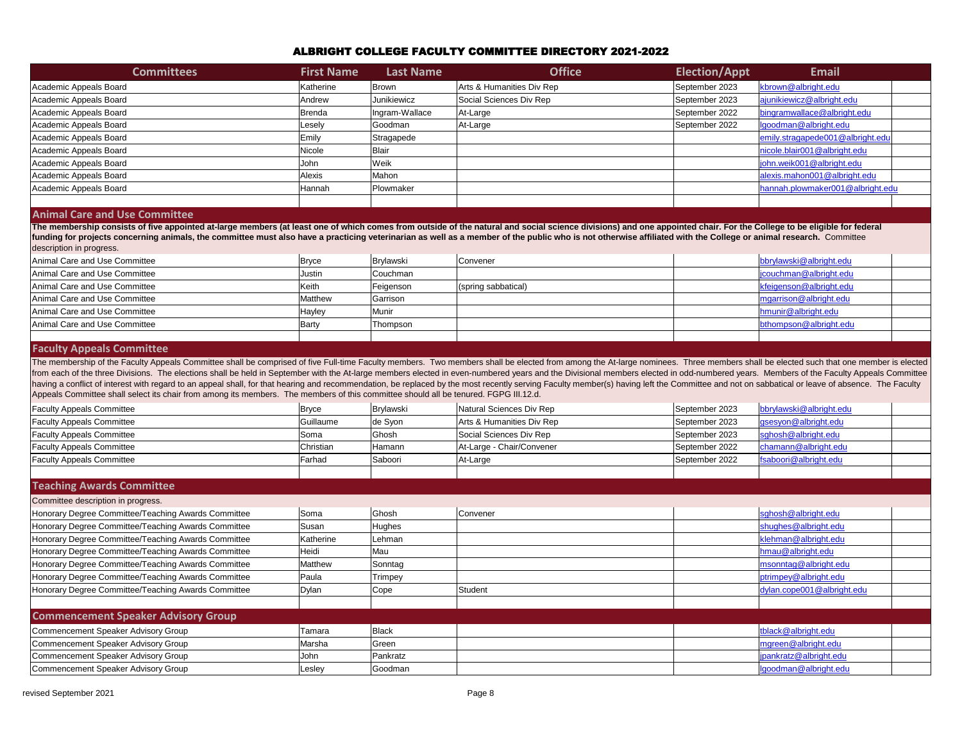| <b>Committees</b>      | <b>First Name</b> | Last Name      | <b>Office</b>             | <b>Election/Appt</b> | <b>Email</b>                     |
|------------------------|-------------------|----------------|---------------------------|----------------------|----------------------------------|
| Academic Appeals Board | Katherine         | Brown          | Arts & Humanities Div Rep | September 2023       | kbrown@albright.edu              |
| Academic Appeals Board | Andrew            | Junikiewicz    | Social Sciences Div Rep   | September 2023       | ajunikiewicz@albright.edu        |
| Academic Appeals Board | Brenda            | Ingram-Wallace | At-Large                  | September 2022       | bingramwallace@albright.edu      |
| Academic Appeals Board | Lesely            | Goodman        | At-Large                  | September 2022       | Igoodman@albright.edu            |
| Academic Appeals Board | Emily             | Stragapede     |                           |                      | emily.stragapede001@albright.edu |
| Academic Appeals Board | Nicole            | Blair          |                           |                      | nicole.blair001@albright.edu     |
| Academic Appeals Board | John_             | Weik           |                           |                      | john.weik001@albright.edu        |
| Academic Appeals Board | Alexis            | Mahon          |                           |                      | alexis.mahon001@albright.edu     |
| Academic Appeals Board | Hannah            | Plowmaker      |                           |                      | hannah.plowmaker001@albright.edu |
|                        |                   |                |                           |                      |                                  |

#### **Animal Care and Use Committee**

| Animal Care and Use Committee | Brvce   | Brylawski       | ∣Convener                   | bbrylawski@albright.edu |
|-------------------------------|---------|-----------------|-----------------------------|-------------------------|
| Animal Care and Use Committee | Justin  | <b>Couchman</b> |                             | jcouchman@albright.edu  |
| Animal Care and Use Committee | Keith   | Feigenson       | $\vert$ (spring sabbatical) | kfeigenson@albright.edu |
| Animal Care and Use Committee | Matthew | lGarrison       |                             | mgarrison@albright.edu  |
| Animal Care and Use Committee | Hayley  | Munir           |                             | hmunir@albright.edu     |
| Animal Care and Use Committee | Barty   | Thompson        |                             | bthompson@albright.edu  |
|                               |         |                 |                             |                         |

#### **Faculty Appeals Committee**

| <b>Faculty Appeals Committee</b> | Bryce     | <b>Brylawski</b> | Natural Sciences Div Rep  | September 2023 | bbrylawski@albright.edu |
|----------------------------------|-----------|------------------|---------------------------|----------------|-------------------------|
| <b>Faculty Appeals Committee</b> | Guillaume | de Syon          | Arts & Humanities Div Rep | September 2023 | gsesyon@albright.edu    |
| <b>Faculty Appeals Committee</b> | Soma      | Ghosh            | Social Sciences Div Rep   | September 2023 | sghosh@albright.edu     |
| <b>Faculty Appeals Committee</b> | Christian | Hamann           | At-Large - Chair/Convener | September 2022 | chamann@albright.edu    |
| <b>Faculty Appeals Committee</b> | Farhad    | Saboori          | At-Large                  | September 2022 | fsaboori@albright.edu   |
|                                  |           |                  |                           |                |                         |

The membership of the Faculty Appeals Committee shall be comprised of five Full-time Faculty members. Two members shall be elected from among the At-large nominees. Three members shall from each of the three Divisions. The elections shall be held in September with the At-large members elected in even-numbered years and the Divisional members elected in odd-numbered years. having a conflict of interest with regard to an appeal shall, for that hearing and recommendation, be replaced by the most recently serving Faculty member(s) having left the Committee and not on sat Appeals Committee shall select its chair from among its members. The members of this committee should all be tenured. FGPG III.12.d.

#### **Teaching Awards Committee**

The membership consists of five appointed at-large members (at least one of which comes from outside of the natural and social science divisions) and one appointed chair. For the Col funding for projects concerning animals, the committee must also have a practicing veterinarian as well as a member of the public who is not otherwise affiliated with the College or ani description in progress.

| Committee description in progress.                  |           |                   |                            |
|-----------------------------------------------------|-----------|-------------------|----------------------------|
| Honorary Degree Committee/Teaching Awards Committee | Soma      | Ghosh<br>Convener | sghosh@albright.edu        |
| Honorary Degree Committee/Teaching Awards Committee | Susan     | Hughes            | shughes@albright.edu       |
| Honorary Degree Committee/Teaching Awards Committee | Katherine | Lehman            | klehman@albright.edu       |
| Honorary Degree Committee/Teaching Awards Committee | Heidi     | Mau               | hmau@albright.edu          |
| Honorary Degree Committee/Teaching Awards Committee | Matthew   | Sonntag           | msonntag@albright.edu      |
| Honorary Degree Committee/Teaching Awards Committee | Paula     | <b>Trimpey</b>    | ptrimpey@albright.edu      |
| Honorary Degree Committee/Teaching Awards Committee | Dylan     | Student<br>Cope   | dylan.cope001@albright.edu |
| <b>Commencement Speaker Advisory Group</b>          |           |                   |                            |
| Commencement Speaker Advisory Group                 | Tamara    | Black             | tblack@albright.edu        |
| Commencement Speaker Advisory Group                 | Marsha    | Green             | mgreen@albright.edu        |
| Commencement Speaker Advisory Group                 | John      | Pankratz          | jpankratz@albright.edu     |
| Commencement Speaker Advisory Group                 | Lesley    | Goodman           | lgoodman@albright.edu      |

| <b>Email</b>                                                                                                                                                                                                      |  |
|-------------------------------------------------------------------------------------------------------------------------------------------------------------------------------------------------------------------|--|
| brown@albright.edu                                                                                                                                                                                                |  |
| junikiewicz@albright.edu                                                                                                                                                                                          |  |
| ingramwallace@albright.edu                                                                                                                                                                                        |  |
| <u>joodman@albright.edu</u>                                                                                                                                                                                       |  |
| <u>mily.stragapede001@albright.edu</u>                                                                                                                                                                            |  |
| icole.blair001@albright.edu                                                                                                                                                                                       |  |
| <u>bhn.weik001@albright.edu</u>                                                                                                                                                                                   |  |
| lexis.mahon001@albright.edu                                                                                                                                                                                       |  |
| annah.plowmaker001@albright.edu                                                                                                                                                                                   |  |
|                                                                                                                                                                                                                   |  |
|                                                                                                                                                                                                                   |  |
| llege to be eligible for federal<br>mal research. Committee                                                                                                                                                       |  |
| <u>brylawski@albright.edu</u>                                                                                                                                                                                     |  |
| <u>couchman@albright.edu</u>                                                                                                                                                                                      |  |
| feigenson@albright.edu                                                                                                                                                                                            |  |
| ngarrison@albright.edu                                                                                                                                                                                            |  |
| munir@albright.edu                                                                                                                                                                                                |  |
| thompson@albright.edu                                                                                                                                                                                             |  |
|                                                                                                                                                                                                                   |  |
| be elected such that one member is elected<br>Members of the Faculty Appeals Committee<br>bbatical or leave of absence. The Faculty<br>brylawski@albright.edu<br><u>sesyon@albright.edu</u><br>ghosh@albright.edu |  |
| hamann@albright.edu                                                                                                                                                                                               |  |
| aboori@albright.edu                                                                                                                                                                                               |  |
|                                                                                                                                                                                                                   |  |
|                                                                                                                                                                                                                   |  |
|                                                                                                                                                                                                                   |  |
| <u>ghosh@albright.edu</u>                                                                                                                                                                                         |  |
| hughes@albright.edu                                                                                                                                                                                               |  |
| <u>lehman@albright.edu</u>                                                                                                                                                                                        |  |
| mau@albright.edu                                                                                                                                                                                                  |  |
| <u>nsonntag@albright.edu</u>                                                                                                                                                                                      |  |
| trimpey@albright.edu                                                                                                                                                                                              |  |
| ylan.cope001@albright.edu                                                                                                                                                                                         |  |
|                                                                                                                                                                                                                   |  |
|                                                                                                                                                                                                                   |  |
| <u>black@albright.edu</u>                                                                                                                                                                                         |  |
| ngreen@albright.edu                                                                                                                                                                                               |  |
| <u>ankratz@albright.edu</u>                                                                                                                                                                                       |  |
|                                                                                                                                                                                                                   |  |
| <u>joodman@albright.edu</u>                                                                                                                                                                                       |  |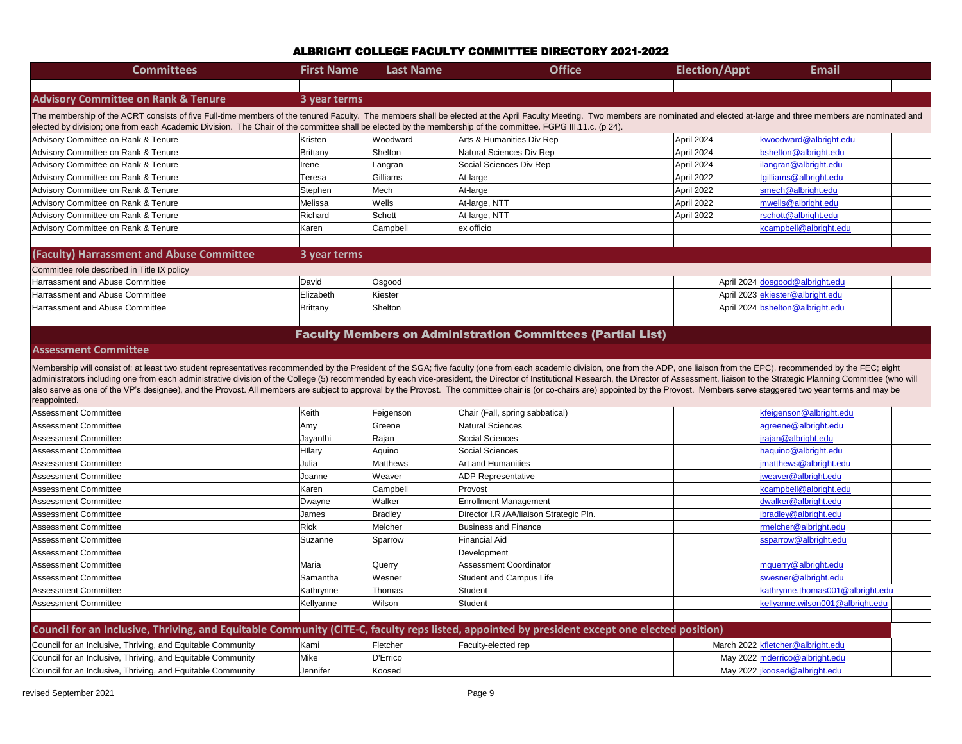| <b>Committees</b>                                                                                                                                                                                                                                                                                                                                                                                                                                                                                                                                                                                                                                                                                                 | <b>First Name</b> | <b>Last Name</b> | <b>Office</b>                                                      | <b>Election/Appt</b> | <b>Email</b>                      |
|-------------------------------------------------------------------------------------------------------------------------------------------------------------------------------------------------------------------------------------------------------------------------------------------------------------------------------------------------------------------------------------------------------------------------------------------------------------------------------------------------------------------------------------------------------------------------------------------------------------------------------------------------------------------------------------------------------------------|-------------------|------------------|--------------------------------------------------------------------|----------------------|-----------------------------------|
|                                                                                                                                                                                                                                                                                                                                                                                                                                                                                                                                                                                                                                                                                                                   |                   |                  |                                                                    |                      |                                   |
| <b>Advisory Committee on Rank &amp; Tenure</b>                                                                                                                                                                                                                                                                                                                                                                                                                                                                                                                                                                                                                                                                    | 3 year terms      |                  |                                                                    |                      |                                   |
| The membership of the ACRT consists of five Full-time members of the tenured Faculty. The members shall be elected at the April Faculty Meeting. Two members are nominated and elected at-large and three members are nominate<br>elected by division; one from each Academic Division. The Chair of the committee shall be elected by the membership of the committee. FGPG III.11.c. (p 24).                                                                                                                                                                                                                                                                                                                    |                   |                  |                                                                    |                      |                                   |
| Advisory Committee on Rank & Tenure                                                                                                                                                                                                                                                                                                                                                                                                                                                                                                                                                                                                                                                                               | Kristen           | Woodward         | Arts & Humanities Div Rep                                          | April 2024           | kwoodward@albright.edu            |
| Advisory Committee on Rank & Tenure                                                                                                                                                                                                                                                                                                                                                                                                                                                                                                                                                                                                                                                                               | Brittany          | Shelton          | Natural Sciences Div Rep                                           | April 2024           | bshelton@albright.edu             |
| Advisory Committee on Rank & Tenure                                                                                                                                                                                                                                                                                                                                                                                                                                                                                                                                                                                                                                                                               | Irene             | Langran          | Social Sciences Div Rep                                            | April 2024           | ilangran@albright.edu             |
| Advisory Committee on Rank & Tenure                                                                                                                                                                                                                                                                                                                                                                                                                                                                                                                                                                                                                                                                               | Teresa            | Gilliams         | At-large                                                           | April 2022           | tgilliams@albright.edu            |
| Advisory Committee on Rank & Tenure                                                                                                                                                                                                                                                                                                                                                                                                                                                                                                                                                                                                                                                                               | Stephen           | Mech             | At-large                                                           | April 2022           | smech@albright.edu                |
| Advisory Committee on Rank & Tenure                                                                                                                                                                                                                                                                                                                                                                                                                                                                                                                                                                                                                                                                               | Melissa           | Wells            | At-large, NTT                                                      | April 2022           | mwells@albright.edu               |
| Advisory Committee on Rank & Tenure                                                                                                                                                                                                                                                                                                                                                                                                                                                                                                                                                                                                                                                                               | Richard           | Schott           | At-large, NTT                                                      | April 2022           | rschott@albright.edu              |
| Advisory Committee on Rank & Tenure                                                                                                                                                                                                                                                                                                                                                                                                                                                                                                                                                                                                                                                                               | Karen             | Campbell         | ex officio                                                         |                      | kcampbell@albright.edu            |
|                                                                                                                                                                                                                                                                                                                                                                                                                                                                                                                                                                                                                                                                                                                   |                   |                  |                                                                    |                      |                                   |
| (Faculty) Harrassment and Abuse Committee                                                                                                                                                                                                                                                                                                                                                                                                                                                                                                                                                                                                                                                                         | 3 year terms      |                  |                                                                    |                      |                                   |
| Committee role described in Title IX policy                                                                                                                                                                                                                                                                                                                                                                                                                                                                                                                                                                                                                                                                       |                   |                  |                                                                    |                      |                                   |
| <b>Harrassment and Abuse Committee</b>                                                                                                                                                                                                                                                                                                                                                                                                                                                                                                                                                                                                                                                                            | David             | Osgood           |                                                                    |                      | April 2024 dosgood@albright.edu   |
| <b>Harrassment and Abuse Committee</b>                                                                                                                                                                                                                                                                                                                                                                                                                                                                                                                                                                                                                                                                            | Elizabeth         | Kiester          |                                                                    |                      | April 2023 ekiester@albright.edu  |
| Harrassment and Abuse Committee                                                                                                                                                                                                                                                                                                                                                                                                                                                                                                                                                                                                                                                                                   | <b>Brittany</b>   | Shelton          |                                                                    |                      | April 2024 bshelton@albright.edu  |
|                                                                                                                                                                                                                                                                                                                                                                                                                                                                                                                                                                                                                                                                                                                   |                   |                  |                                                                    |                      |                                   |
|                                                                                                                                                                                                                                                                                                                                                                                                                                                                                                                                                                                                                                                                                                                   |                   |                  | <b>Faculty Members on Administration Committees (Partial List)</b> |                      |                                   |
| <b>Assessment Committee</b>                                                                                                                                                                                                                                                                                                                                                                                                                                                                                                                                                                                                                                                                                       |                   |                  |                                                                    |                      |                                   |
| Membership will consist of: at least two student representatives recommended by the President of the SGA; five faculty (one from each academic division, one from the ADP, one liaison from the EPC), recommended by the FEC;<br>administrators including one from each administrative division of the College (5) recommended by each vice-president, the Director of Institutional Research, the Director of Assessment, liaison to the Strategic Planning Co<br>also serve as one of the VP's designee), and the Provost. All members are subject to approval by the Provost. The committee chair is (or co-chairs are) appointed by the Provost. Members serve staggered two year terms and m<br>reappointed. |                   |                  |                                                                    |                      |                                   |
| <b>Assessment Committee</b>                                                                                                                                                                                                                                                                                                                                                                                                                                                                                                                                                                                                                                                                                       | Keith             | Feigenson        | Chair (Fall, spring sabbatical)                                    |                      | kfeigenson@albright.edu           |
| <b>Assessment Committee</b>                                                                                                                                                                                                                                                                                                                                                                                                                                                                                                                                                                                                                                                                                       | Amy               | Greene           | <b>Natural Sciences</b>                                            |                      | agreene@albright.edu              |
| <b>Assessment Committee</b>                                                                                                                                                                                                                                                                                                                                                                                                                                                                                                                                                                                                                                                                                       | Jayanthi          | Rajan            | Social Sciences                                                    |                      | jrajan@albright.edu               |
| <b>Assessment Committee</b>                                                                                                                                                                                                                                                                                                                                                                                                                                                                                                                                                                                                                                                                                       | Hllary            | Aquino           | Social Sciences                                                    |                      | haquino@albright.edu              |
| <b>Assessment Committee</b>                                                                                                                                                                                                                                                                                                                                                                                                                                                                                                                                                                                                                                                                                       | Julia             | Matthews         | <b>Art and Humanities</b>                                          |                      | imatthews@albright.edu            |
| <b>Assessment Committee</b>                                                                                                                                                                                                                                                                                                                                                                                                                                                                                                                                                                                                                                                                                       | Joanne            | Weaver           | <b>ADP Representative</b>                                          |                      | jweaver@albright.edu              |
| <b>Assessment Committee</b>                                                                                                                                                                                                                                                                                                                                                                                                                                                                                                                                                                                                                                                                                       | Karen             | Campbell         | Provost                                                            |                      | kcampbell@albright.edu            |
| <b>Assessment Committee</b>                                                                                                                                                                                                                                                                                                                                                                                                                                                                                                                                                                                                                                                                                       | Dwayne            | Walker           | <b>Enrollment Management</b>                                       |                      | dwalker@albright.edu              |
| <b>Assessment Committee</b>                                                                                                                                                                                                                                                                                                                                                                                                                                                                                                                                                                                                                                                                                       | James             | <b>Bradley</b>   | Director I.R./AA/liaison Strategic Pln.                            |                      | jbradley@albright.edu             |
| <b>Assessment Committee</b>                                                                                                                                                                                                                                                                                                                                                                                                                                                                                                                                                                                                                                                                                       | <b>Rick</b>       | Melcher          | <b>Business and Finance</b>                                        |                      | rmelcher@albright.edu             |
| <b>Assessment Committee</b>                                                                                                                                                                                                                                                                                                                                                                                                                                                                                                                                                                                                                                                                                       | Suzanne           | Sparrow          | <b>Financial Aid</b>                                               |                      | ssparrow@albright.edu             |
| <b>Assessment Committee</b>                                                                                                                                                                                                                                                                                                                                                                                                                                                                                                                                                                                                                                                                                       |                   |                  | Development                                                        |                      |                                   |
| <b>Assessment Committee</b>                                                                                                                                                                                                                                                                                                                                                                                                                                                                                                                                                                                                                                                                                       | Maria             | Querry           | <b>Assessment Coordinator</b>                                      |                      | mquerry@albright.edu              |
| <b>Assessment Committee</b>                                                                                                                                                                                                                                                                                                                                                                                                                                                                                                                                                                                                                                                                                       | Samantha          | Wesner           | <b>Student and Campus Life</b>                                     |                      | swesner@albright.edu              |
| <b>Assessment Committee</b>                                                                                                                                                                                                                                                                                                                                                                                                                                                                                                                                                                                                                                                                                       | Kathrynne         | Thomas           | Student                                                            |                      | kathrynne.thomas001@albright.edu  |
| <b>Assessment Committee</b>                                                                                                                                                                                                                                                                                                                                                                                                                                                                                                                                                                                                                                                                                       | Kellyanne         | Wilson           | Student                                                            |                      | kellyanne.wilson001@albright.edu  |
|                                                                                                                                                                                                                                                                                                                                                                                                                                                                                                                                                                                                                                                                                                                   |                   |                  |                                                                    |                      |                                   |
| Council for an Inclusive, Thriving, and Equitable Community (CITE-C, faculty reps listed, appointed by president except one elected position)                                                                                                                                                                                                                                                                                                                                                                                                                                                                                                                                                                     |                   |                  |                                                                    |                      |                                   |
| Council for an Inclusive, Thriving, and Equitable Community                                                                                                                                                                                                                                                                                                                                                                                                                                                                                                                                                                                                                                                       | Kami              | Fletcher         | Faculty-elected rep                                                |                      | March 2022 kfletcher@albright.edu |
| Council for an Inclusive, Thriving, and Equitable Community                                                                                                                                                                                                                                                                                                                                                                                                                                                                                                                                                                                                                                                       | Mike              | D'Errico         |                                                                    |                      | May 2022 mderrico@albright.edu    |
| Council for an Inclusive, Thriving, and Equitable Community                                                                                                                                                                                                                                                                                                                                                                                                                                                                                                                                                                                                                                                       | Jennifer          | Koosed           |                                                                    |                      | May 2022   koosed@albright.edu    |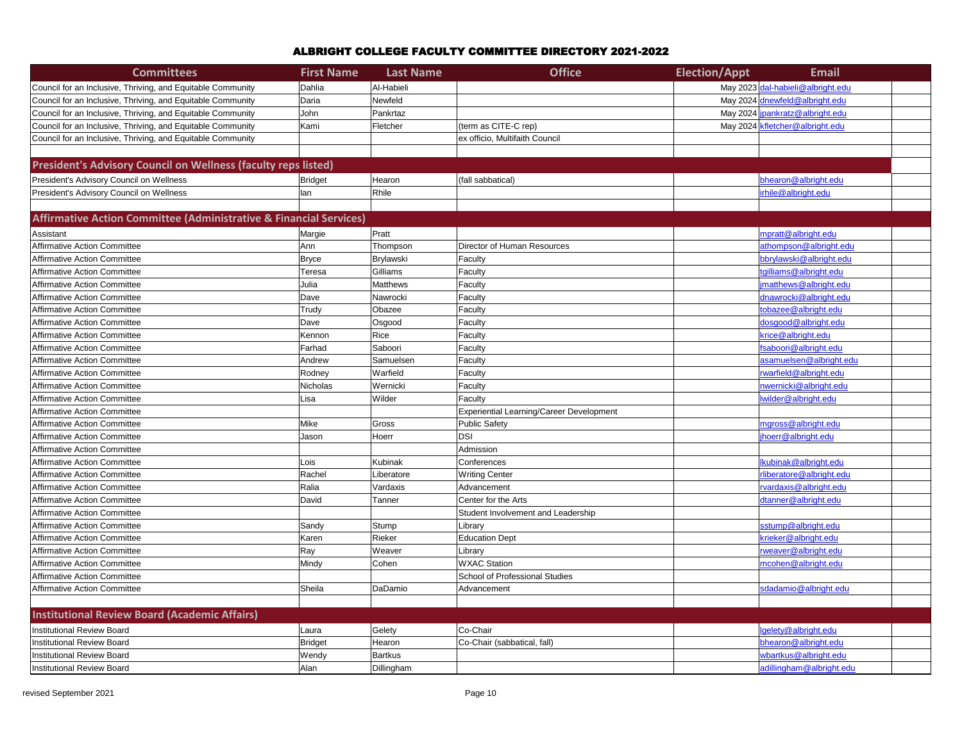| <b>Committees</b>                                                  | <b>First Name</b> | <b>Last Name</b> | <b>Office</b>                            | <b>Election/Appt</b> | <b>Email</b>                      |
|--------------------------------------------------------------------|-------------------|------------------|------------------------------------------|----------------------|-----------------------------------|
| Council for an Inclusive, Thriving, and Equitable Community        | Dahlia            | Al-Habieli       |                                          |                      | May 2023 dal-habieli@albright.edu |
| Council for an Inclusive, Thriving, and Equitable Community        | Daria             | Newfeld          |                                          |                      | May 2024 dnewfeld@albright.edu    |
| Council for an Inclusive, Thriving, and Equitable Community        | John              | Pankrtaz         |                                          |                      | May 2024 jpankratz@albright.edu   |
| Council for an Inclusive, Thriving, and Equitable Community        | Kami              | Fletcher         | (term as CITE-C rep)                     |                      | May 2024   kfletcher@albright.edu |
| Council for an Inclusive, Thriving, and Equitable Community        |                   |                  | ex officio, Multifaith Council           |                      |                                   |
|                                                                    |                   |                  |                                          |                      |                                   |
| President's Advisory Council on Wellness (faculty reps listed)     |                   |                  |                                          |                      |                                   |
| President's Advisory Council on Wellness                           | <b>Bridget</b>    | Hearon           | (fall sabbatical)                        |                      | bhearon@albright.edu              |
| President's Advisory Council on Wellness                           | lan               | Rhile            |                                          |                      | irhile@albright.edu               |
|                                                                    |                   |                  |                                          |                      |                                   |
| Affirmative Action Committee (Administrative & Financial Services) |                   |                  |                                          |                      |                                   |
| Assistant                                                          | Margie            | Pratt            |                                          |                      | mpratt@albright.edu               |
| <b>Affirmative Action Committee</b>                                | Ann               | Thompson         | <b>Director of Human Resources</b>       |                      | athompson@albright.edu            |
| <b>Affirmative Action Committee</b>                                | <b>Bryce</b>      | Brylawski        | Faculty                                  |                      | bbrylawski@albright.edu           |
| <b>Affirmative Action Committee</b>                                | Teresa            | Gilliams         | Faculty                                  |                      | tgilliams@albright.edu            |
| <b>Affirmative Action Committee</b>                                | Julia             | Matthews         | Faculty                                  |                      | imatthews@albright.edu            |
| <b>Affirmative Action Committee</b>                                | Dave              | Nawrocki         | Faculty                                  |                      | dnawrocki@albright.edu            |
| <b>Affirmative Action Committee</b>                                | Trudy             | Obazee           | Faculty                                  |                      | tobazee@albright.edu              |
| <b>Affirmative Action Committee</b>                                | Dave              | Osgood           | Faculty                                  |                      | dosgood@albright.edu              |
| <b>Affirmative Action Committee</b>                                | Kennon            | Rice             | Faculty                                  |                      | krice@albright.edu                |
| <b>Affirmative Action Committee</b>                                | Farhad            | Saboori          | Faculty                                  |                      | fsaboori@albright.edu             |
| <b>Affirmative Action Committee</b>                                | Andrew            | Samuelsen        | Faculty                                  |                      | asamuelsen@albright.edu           |
| <b>Affirmative Action Committee</b>                                | Rodney            | Warfield         | Faculty                                  |                      | rwarfield@albright.edu            |
| <b>Affirmative Action Committee</b>                                | Nicholas          | Wernicki         | Faculty                                  |                      | nwernicki@albright.edu            |
| <b>Affirmative Action Committee</b>                                | Lisa              | Wilder           | Faculty                                  |                      | lwilder@albright.edu              |
| <b>Affirmative Action Committee</b>                                |                   |                  | Experiential Learning/Career Development |                      |                                   |
| <b>Affirmative Action Committee</b>                                | Mike              | Gross            | Public Safety                            |                      | mgross@albright.edu               |
| <b>Affirmative Action Committee</b>                                | Jason             | Hoerr            | <b>DSI</b>                               |                      | jhoerr@albright.edu               |
| Affirmative Action Committee                                       |                   |                  | Admission                                |                      |                                   |
| <b>Affirmative Action Committee</b>                                | Lois              | <b>Kubinak</b>   | Conferences                              |                      | lkubinak@albright.edu             |
| Affirmative Action Committee                                       | Rachel            | Liberatore       | <b>Writing Center</b>                    |                      | rliberatore@albright.edu          |
| <b>Affirmative Action Committee</b>                                | Ralia             | Vardaxis         | Advancement                              |                      | rvardaxis@albright.edu            |
| <b>Affirmative Action Committee</b>                                | David             | Tanner           | Center for the Arts                      |                      | dtanner@albright.edu              |
| <b>Affirmative Action Committee</b>                                |                   |                  | Student Involvement and Leadership       |                      |                                   |
| <b>Affirmative Action Committee</b>                                | Sandy             | Stump            | Library                                  |                      | sstump@albright.edu               |
| <b>Affirmative Action Committee</b>                                | Karen             | Rieker           | <b>Education Dept</b>                    |                      | krieker@albright.edu              |
| Affirmative Action Committee                                       | Ray               | Weaver           | Library                                  |                      | rweaver@albright.edu              |
| <b>Affirmative Action Committee</b>                                | Mindy             | Cohen            | <b>WXAC Station</b>                      |                      | mcohen@albright.edu               |
| <b>Affirmative Action Committee</b>                                |                   |                  | School of Professional Studies           |                      |                                   |
| Affirmative Action Committee                                       | Sheila            | DaDamio          | Advancement                              |                      | sdadamio@albright.edu             |
|                                                                    |                   |                  |                                          |                      |                                   |
| <b>Institutional Review Board (Academic Affairs)</b>               |                   |                  |                                          |                      |                                   |
| <b>Institutional Review Board</b>                                  | Laura             | Gelety           | Co-Chair                                 |                      | lgelety@albright.edu              |
| <b>Institutional Review Board</b>                                  | Bridget           | Hearon           | Co-Chair (sabbatical, fall)              |                      | bhearon@albright.edu              |
| <b>Institutional Review Board</b>                                  | Wendy             | <b>Bartkus</b>   |                                          |                      | wbartkus@albright.edu             |
| <b>Institutional Review Board</b>                                  | Alan              | Dillingham       |                                          |                      | adillingham@albright.edu          |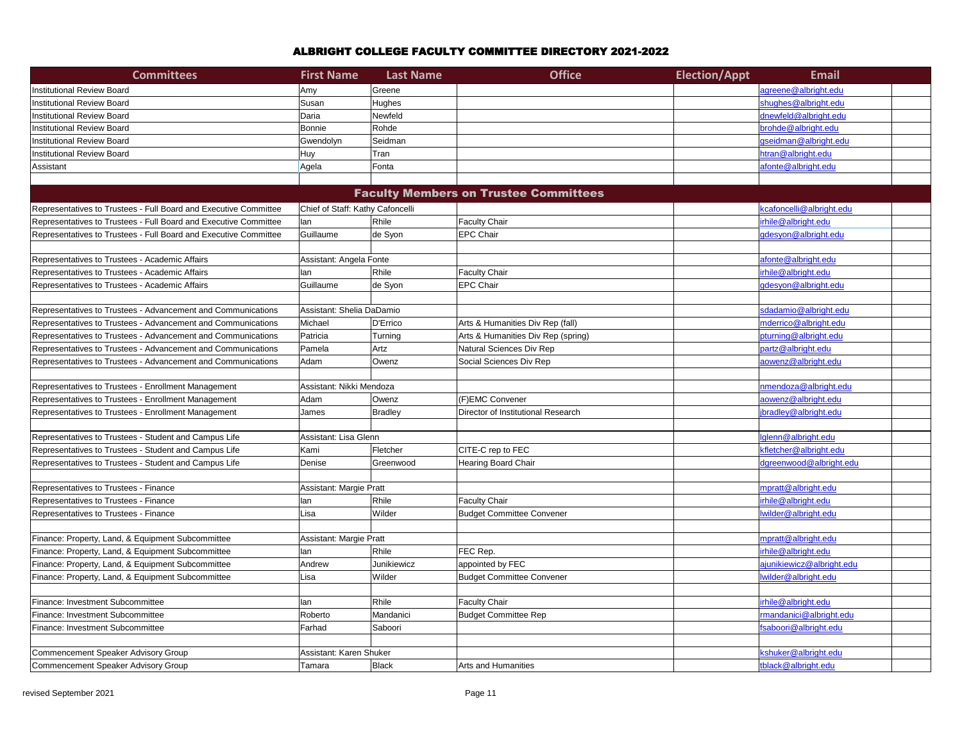| <b>Committees</b>                                                | <b>First Name</b>                | <b>Last Name</b>         | <b>Office</b>                                | <b>Election/Appt</b> | <b>Email</b>              |
|------------------------------------------------------------------|----------------------------------|--------------------------|----------------------------------------------|----------------------|---------------------------|
| Institutional Review Board                                       | Amy                              | Greene                   |                                              |                      | agreene@albright.edu      |
| <b>Institutional Review Board</b>                                | Susan                            | Hughes                   |                                              |                      | shughes@albright.edu      |
| <b>nstitutional Review Board</b>                                 | Daria                            | Newfeld                  |                                              |                      | dnewfeld@albright.edu     |
| <b>Institutional Review Board</b>                                | Bonnie                           | Rohde                    |                                              |                      | brohde@albright.edu       |
| <b>Institutional Review Board</b>                                | Gwendolyn                        | Seidman                  |                                              |                      | gseidman@albright.edu     |
| <b>Institutional Review Board</b>                                | Huy                              | Tran                     |                                              |                      | htran@albright.edu        |
| Assistant                                                        | Agela                            | Fonta                    |                                              |                      | afonte@albright.edu       |
|                                                                  |                                  |                          |                                              |                      |                           |
|                                                                  |                                  |                          | <b>Faculty Members on Trustee Committees</b> |                      |                           |
| Representatives to Trustees - Full Board and Executive Committee | Chief of Staff: Kathy Cafoncelli |                          |                                              |                      | kcafoncelli@albright.edu  |
| Representatives to Trustees - Full Board and Executive Committee | lan                              | Rhile                    | <b>Faculty Chair</b>                         |                      | irhile@albright.edu       |
| Representatives to Trustees - Full Board and Executive Committee | Guillaume                        | de Syon                  | <b>EPC Chair</b>                             |                      | gdesyon@albright.edu      |
|                                                                  |                                  |                          |                                              |                      |                           |
| Representatives to Trustees - Academic Affairs                   | Assistant: Angela Fonte          |                          |                                              |                      | afonte@albright.edu       |
| Representatives to Trustees - Academic Affairs                   | lan                              | Rhile                    | <b>Faculty Chair</b>                         |                      | irhile@albright.edu       |
| Representatives to Trustees - Academic Affairs                   | Guillaume                        | de Syon                  | <b>EPC Chair</b>                             |                      | gdesyon@albright.edu      |
|                                                                  |                                  |                          |                                              |                      |                           |
| Representatives to Trustees - Advancement and Communications     | Assistant: Shelia DaDamio        |                          |                                              |                      | sdadamio@albright.edu     |
| Representatives to Trustees - Advancement and Communications     | Michael                          | D'Errico                 | Arts & Humanities Div Rep (fall)             |                      | mderrico@albright.edu     |
| Representatives to Trustees - Advancement and Communications     | Patricia                         | Turning                  | Arts & Humanities Div Rep (spring)           |                      | pturning@albright.edu     |
| Representatives to Trustees - Advancement and Communications     | Pamela                           | Artz                     | Natural Sciences Div Rep                     |                      | partz@albright.edu        |
| Representatives to Trustees - Advancement and Communications     | Adam                             | Owenz                    | Social Sciences Div Rep                      |                      | aowenz@albright.edu       |
|                                                                  |                                  |                          |                                              |                      |                           |
| Representatives to Trustees - Enrollment Management              |                                  | Assistant: Nikki Mendoza |                                              |                      | nmendoza@albright.edu     |
| Representatives to Trustees - Enrollment Management              | Adam                             | Owenz                    | (F)EMC Convener                              |                      | aowenz@albright.edu       |
| Representatives to Trustees - Enrollment Management              | James                            | Bradley                  | Director of Institutional Research           |                      | jbradley@albright.edu     |
|                                                                  |                                  |                          |                                              |                      |                           |
| Representatives to Trustees - Student and Campus Life            | Assistant: Lisa Glenn            |                          |                                              |                      | Iglenn@albright.edu       |
| Representatives to Trustees - Student and Campus Life            | Kami                             | Fletcher                 | CITE-C rep to FEC                            |                      | kfletcher@albright.edu    |
| Representatives to Trustees - Student and Campus Life            | Denise                           | Greenwood                | <b>Hearing Board Chair</b>                   |                      | dgreenwood@albright.edu   |
|                                                                  |                                  |                          |                                              |                      |                           |
| Representatives to Trustees - Finance                            | Assistant: Margie Pratt          |                          |                                              |                      | mpratt@albright.edu       |
| Representatives to Trustees - Finance                            | lan                              | Rhile                    | <b>Faculty Chair</b>                         |                      | irhile@albright.edu       |
| Representatives to Trustees - Finance                            | Lisa                             | Wilder                   | <b>Budget Committee Convener</b>             |                      | Iwilder@albright.edu      |
|                                                                  |                                  |                          |                                              |                      |                           |
| Finance: Property, Land, & Equipment Subcommittee                | Assistant: Margie Pratt          |                          |                                              |                      | mpratt@albright.edu       |
| Finance: Property, Land, & Equipment Subcommittee                | lan                              | Rhile                    | FEC Rep.                                     |                      | irhile@albright.edu       |
| Finance: Property, Land, & Equipment Subcommittee                | Andrew                           | Junikiewicz              | appointed by FEC                             |                      | ajunikiewicz@albright.edu |
| Finance: Property, Land, & Equipment Subcommittee                | Lisa                             | Wilder                   | <b>Budget Committee Convener</b>             |                      | lwilder@albright.edu      |
|                                                                  |                                  |                          |                                              |                      |                           |
| Finance: Investment Subcommittee                                 | lan                              | Rhile                    | <b>Faculty Chair</b>                         |                      | irhile@albright.edu       |
| Finance: Investment Subcommittee                                 | Roberto                          | Mandanici                | <b>Budget Committee Rep</b>                  |                      | rmandanici@albright.edu   |
| Finance: Investment Subcommittee                                 | Farhad                           | Saboori                  |                                              |                      | fsaboori@albright.edu     |
|                                                                  |                                  |                          |                                              |                      |                           |
| Commencement Speaker Advisory Group                              | Assistant: Karen Shuker          |                          |                                              |                      | kshuker@albright.edu      |
| Commencement Speaker Advisory Group                              | Tamara                           | Black                    | Arts and Humanities                          |                      | tblack@albright.edu       |